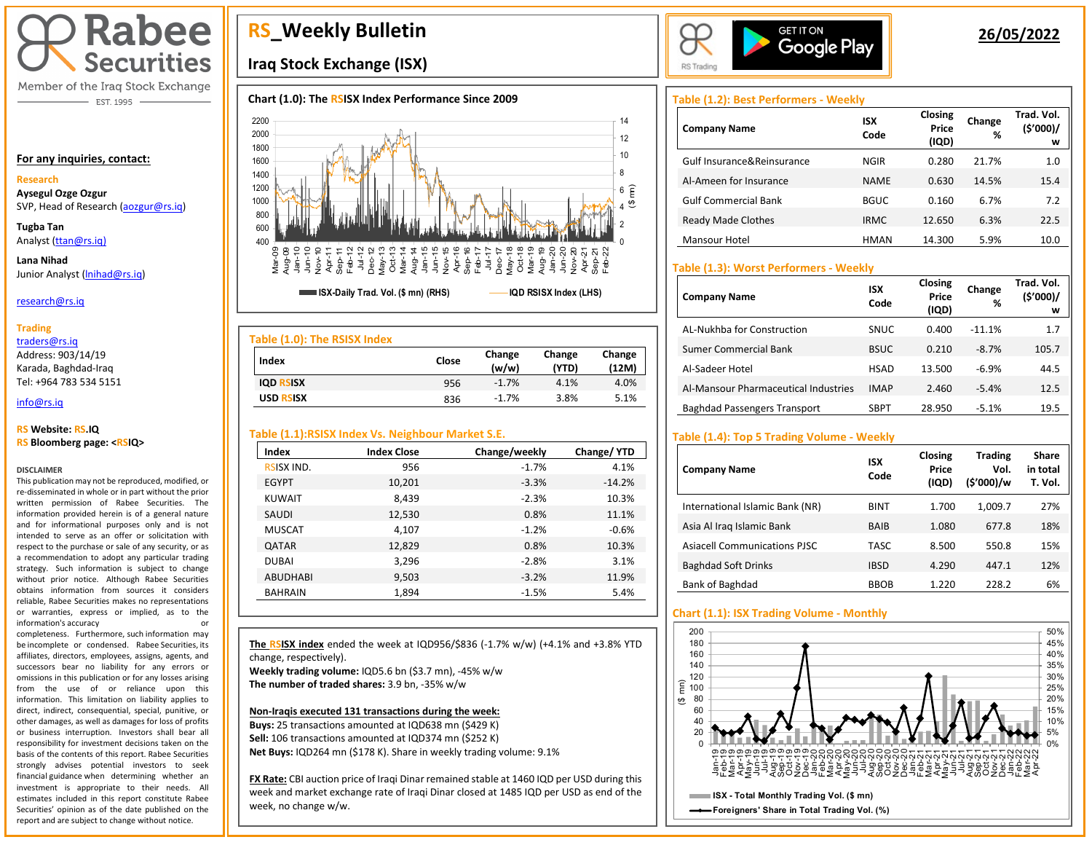

Member of the Iraq Stock Exchange - EST. 1995

#### **For any inquiries, contact:**

#### **Research**

**Aysegul Ozge Ozgur**  SVP, Head of Research [\(aozgur@rs.iq\)](mailto:aozgur@rs.iq)

**Tugba Tan** Analyst [\(ttan@rs.iq\)](mailto:ttan@rs.iq)

**Lana Nihad** Junior Analyst (Inihad@rs.iq)

#### research@rs.iq

#### **Trading**

traders@rs.iq

Address: 903/14/19 Karada, Baghdad-Iraq Tel: +964 783 534 5151

#### info@rs.iq İ

#### **RS Website: RS.IQ RS Bloomberg page: <RSIQ>**

#### **DISCLAIMER**

This publication may not be reproduced, modified, or re-disseminated in whole or in part without the prior written permission of Rabee Securities. The information provided herein is of a general nature and for informational purposes only and is not intended to serve as an offer or solicitation with respect to the purchase or sale of any security, or as a recommendation to adopt any particular trading strategy. Such information is subject to change without prior notice. Although Rabee Securities obtains information from sources it considers reliable, Rabee Securities makes no representations or warranties, express or implied, as to the information's accuracy or

completeness. Furthermore, such information may be incomplete or condensed. Rabee Securities, its affiliates, directors, employees, assigns, agents, and successors bear no liability for any errors or omissions in this publication or for any losses arising from the use of or reliance upon this information. This limitation on liability applies to direct, indirect, consequential, special, punitive, or other damages, as well as damages for loss of profits or business interruption. Investors shall bear all responsibility for investment decisions taken on the basis of the contents of this report. Rabee Securities strongly advises potential investors to seek financial guidance when determining whether an investment is appropriate to their needs. All estimates included in this report constitute Rabee Securities' opinion as of the date published on the report and are subject to change without notice.

# **RS\_Weekly Bulletin**

## **Iraq Stock Exchange (ISX)**

## **Chart (1.0): The RSISX Index Performance Since 2009**



| Table (1.0): The RSISX Index |       |                 |                 |                 |
|------------------------------|-------|-----------------|-----------------|-----------------|
| Index                        | Close | Change<br>(w/w) | Change<br>(YTD) | Change<br>(12M) |
| <b>IQD RSISX</b>             | 956   | $-1.7%$         | 4.1%            | 4.0%            |
| <b>USD RSISX</b>             | 836   | $-1.7%$         | 3.8%            | 5.1%            |

## **Table (1.1):RSISX Index Vs. Neighbour Market S.E.**

| Index             | <b>Index Close</b> | Change/weekly | Change/YTD |
|-------------------|--------------------|---------------|------------|
| <b>RSISX IND.</b> | 956                | $-1.7%$       | 4.1%       |
| <b>EGYPT</b>      | 10,201             | $-3.3%$       | $-14.2%$   |
| <b>KUWAIT</b>     | 8,439              | $-2.3%$       | 10.3%      |
| <b>SAUDI</b>      | 12,530             | 0.8%          | 11.1%      |
| <b>MUSCAT</b>     | 4,107              | $-1.2%$       | $-0.6%$    |
| <b>QATAR</b>      | 12,829             | 0.8%          | 10.3%      |
| <b>DUBAI</b>      | 3,296              | $-2.8%$       | 3.1%       |
| <b>ABUDHABI</b>   | 9,503              | $-3.2%$       | 11.9%      |
| <b>BAHRAIN</b>    | 1,894              | $-1.5%$       | 5.4%       |

**The RSISX index** ended the week at IQD956/\$836 (-1.7% w/w) (+4.1% and +3.8% YTD change, respectively). **Weekly trading volume:** IQD5.6 bn (\$3.7 mn), -45% w/w

**The number of traded shares:** 3.9 bn, -35% w/w

I

#### **Non-Iraqis executed 131 transactions during the week:**

**Buys:** 25 transactions amounted at IQD638 mn (\$429 K) **Sell:** 106 transactions amounted at IQD374 mn (\$252 K) **Net Buys:** IQD264 mn (\$178 K). Share in weekly trading volume: 9.1%

**FX Rate:** CBI auction price of Iraqi Dinar remained stable at 1460 IQD per USD during this week and market exchange rate of Iraqi Dinar closed at 1485 IQD per USD as end of the week, no change w/w.



## **26/05/2022**

## **Table (1.2): Best Performers - Weekly**

| <b>Company Name</b>         | ISX<br>Code | Closing<br>Price<br>(IQD) | Change<br>% | Trad. Vol.<br>(5'000)/<br>w |
|-----------------------------|-------------|---------------------------|-------------|-----------------------------|
| Gulf Insurance&Reinsurance  | <b>NGIR</b> | 0.280                     | 21.7%       | 1.0                         |
| Al-Ameen for Insurance      | <b>NAME</b> | 0.630                     | 14.5%       | 15.4                        |
| <b>Gulf Commercial Bank</b> | <b>BGUC</b> | 0.160                     | 6.7%        | 7.2                         |
| Ready Made Clothes          | <b>IRMC</b> | 12.650                    | 6.3%        | 22.5                        |
| Mansour Hotel               | <b>HMAN</b> | 14.300                    | 5.9%        | 10.0                        |

## **Table (1.3): Worst Performers - Weekly**

| <b>Company Name</b>                  | <b>ISX</b><br>Code | Closing<br>Price<br>(IQD) | Change<br>% | Trad. Vol.<br>(5'000)/<br>w |
|--------------------------------------|--------------------|---------------------------|-------------|-----------------------------|
| AL-Nukhba for Construction           | SNUC               | 0.400                     | $-11.1%$    | 1.7                         |
| Sumer Commercial Bank                | <b>BSUC</b>        | 0.210                     | $-8.7%$     | 105.7                       |
| Al-Sadeer Hotel                      | <b>HSAD</b>        | 13.500                    | $-6.9%$     | 44.5                        |
| Al-Mansour Pharmaceutical Industries | <b>IMAP</b>        | 2.460                     | $-5.4%$     | 12.5                        |
| <b>Baghdad Passengers Transport</b>  | <b>SBPT</b>        | 28.950                    | $-5.1%$     | 19.5                        |

## **Table (1.4): Top 5 Trading Volume - Weekly**

| <b>Company Name</b>                 | <b>ISX</b><br>Code | Closing<br>Price<br>(IQD) | <b>Trading</b><br>Vol.<br>(\$'000)/w | <b>Share</b><br>in total<br>T. Vol. |
|-------------------------------------|--------------------|---------------------------|--------------------------------------|-------------------------------------|
| International Islamic Bank (NR)     | BINT               | 1.700                     | 1,009.7                              | 27%                                 |
| Asia Al Iraq Islamic Bank           | <b>BAIR</b>        | 1.080                     | 677.8                                | 18%                                 |
| <b>Asiacell Communications PJSC</b> | TASC               | 8.500                     | 550.8                                | 15%                                 |
| <b>Baghdad Soft Drinks</b>          | <b>IBSD</b>        | 4.290                     | 447.1                                | 12%                                 |
| Bank of Baghdad                     | <b>BBOB</b>        | 1.220                     | 228.2                                | 6%                                  |

## **Chart (1.1): ISX Trading Volume - Monthly**

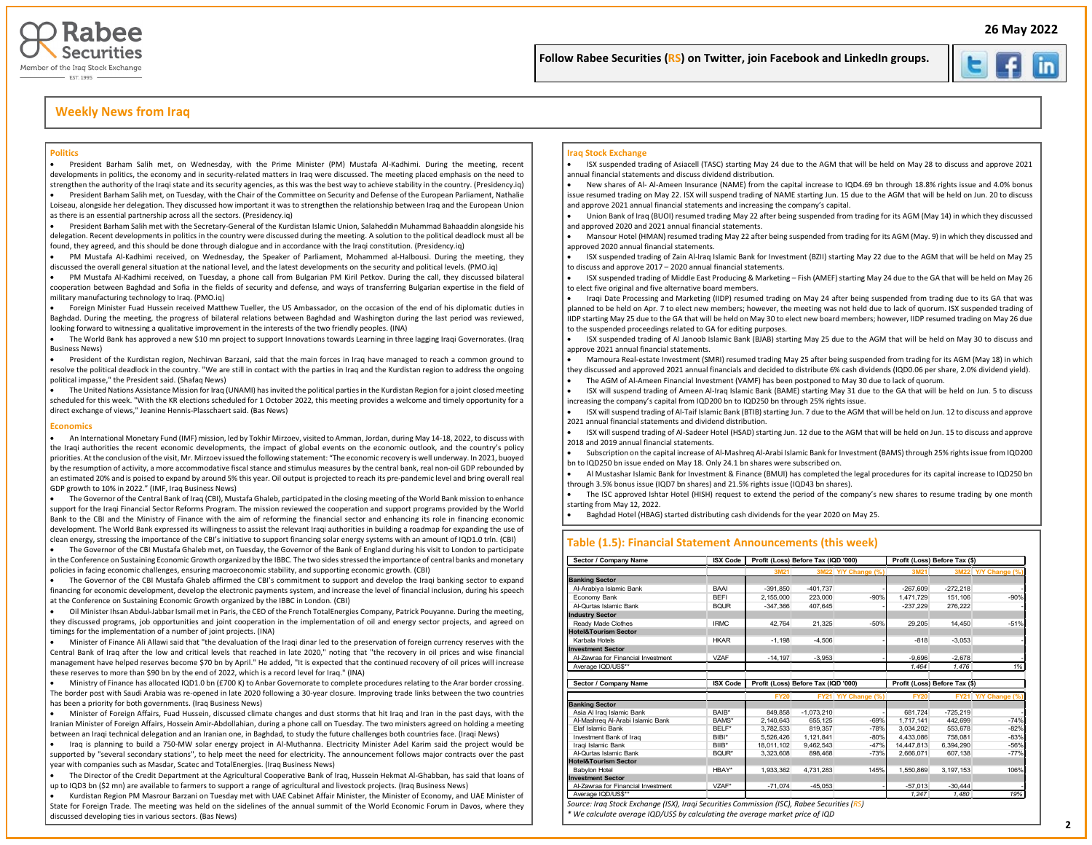



## **Weekly News from Iraq**

#### **Politics**

• President Barham Salih met, on Wednesday, with the Prime Minister (PM) Mustafa Al-Kadhimi. During the meeting, recent developments in politics, the economy and in security-related matters in Iraq were discussed. The meeting placed emphasis on the need to strengthen the authority of the Iraqi state and its security agencies, as this was the best way to achieve stability in the country. (Presidency.iq) • President Barham Salih met, on Tuesday, with the Chair of the Committee on Security and Defense of the European Parliament, Nathalie

Loiseau, alongside her delegation. They discussed how important it was to strengthen the relationship between Iraq and the European Union as there is an essential partnership across all the sectors. (Presidency.iq)

• President Barham Salih met with the Secretary-General of the Kurdistan Islamic Union, Salaheddin Muhammad Bahaaddin alongside his delegation. Recent developments in politics in the country were discussed during the meeting. A solution to the political deadlock must all be found, they agreed, and this should be done through dialogue and in accordance with the Iraqi constitution. (Presidency.iq)

• PM Mustafa Al-Kadhimi received, on Wednesday, the Speaker of Parliament, Mohammed al-Halbousi. During the meeting, they discussed the overall general situation at the national level, and the latest developments on the security and political levels. (PMO.iq)

• PM Mustafa Al-Kadhimi received, on Tuesday, a phone call from Bulgarian PM Kiril Petkov. During the call, they discussed bilateral cooperation between Baghdad and Sofia in the fields of security and defense, and ways of transferring Bulgarian expertise in the field of military manufacturing technology to Iraq. (PMO.iq)

• Foreign Minister Fuad Hussein received Matthew Tueller, the US Ambassador, on the occasion of the end of his diplomatic duties in Baghdad. During the meeting, the progress of bilateral relations between Baghdad and Washington during the last period was reviewed, looking forward to witnessing a qualitative improvement in the interests of the two friendly peoples. (INA)

• The World Bank has approved a new \$10 mn project to support Innovations towards Learning in three lagging Iraqi Governorates. (Iraq Business News)

• President of the Kurdistan region, Nechirvan Barzani, said that the main forces in Iraq have managed to reach a common ground to resolve the political deadlock in the country. "We are still in contact with the parties in Iraq and the Kurdistan region to address the ongoing political impasse," the President said. (Shafaq News)

• The United Nations Assistance Mission for Iraq (UNAMI) has invited the political parties in the Kurdistan Region for a joint closed meeting scheduled for this week. "With the KR elections scheduled for 1 October 2022, this meeting provides a welcome and timely opportunity for a direct exchange of views," Jeanine Hennis-Plasschaert said. (Bas News)

#### **Economics**

• An International Monetary Fund (IMF) mission, led by Tokhir Mirzoev, visited to Amman, Jordan, during May 14-18, 2022, to discuss with the Iraqi authorities the recent economic developments, the impact of global events on the economic outlook, and the country's policy priorities. At the conclusion of the visit, Mr. Mirzoev issued the following statement: "The economic recovery is well underway. In 2021, buoyed by the resumption of activity, a more accommodative fiscal stance and stimulus measures by the central bank, real non-oil GDP rebounded by an estimated 20% and is poised to expand by around 5% this year. Oil output is projected to reach its pre-pandemic level and bring overall real GDP growth to 10% in 2022." (IMF, Iraq Business News)

• The Governor of the Central Bank of Iraq (CBI), Mustafa Ghaleb, participated in the closing meeting of the World Bank mission to enhance support for the Iraqi Financial Sector Reforms Program. The mission reviewed the cooperation and support programs provided by the World Bank to the CBI and the Ministry of Finance with the aim of reforming the financial sector and enhancing its role in financing economic development. The World Bank expressed its willingness to assist the relevant Iraqi authorities in building a roadmap for expanding the use of clean energy, stressing the importance of the CBI's initiative to support financing solar energy systems with an amount of IQD1.0 trln. (CBI)

• The Governor of the CBI Mustafa Ghaleb met, on Tuesday, the Governor of the Bank of England during his visit to London to participate in the Conference on Sustaining Economic Growth organized by the IBBC. The two sides stressed the importance of central banks and monetary policies in facing economic challenges, ensuring macroeconomic stability, and supporting economic growth. (CBI)

• The Governor of the CBI Mustafa Ghaleb affirmed the CBI's commitment to support and develop the Iraqi banking sector to expand financing for economic development, develop the electronic payments system, and increase the level of financial inclusion, during his speech at the Conference on Sustaining Economic Growth organized by the IBBC in London. (CBI)

• Oil Minister Ihsan Abdul-Jabbar Ismail met in Paris, the CEO of the French TotalEnergies Company, Patrick Pouyanne. During the meeting, they discussed programs, job opportunities and joint cooperation in the implementation of oil and energy sector projects, and agreed on timings for the implementation of a number of joint projects. (INA)

• Minister of Finance Ali Allawi said that "the devaluation of the Iraqi dinar led to the preservation of foreign currency reserves with the Central Bank of Iraq after the low and critical levels that reached in late 2020," noting that "the recovery in oil prices and wise financial management have helped reserves become \$70 bn by April." He added, "It is expected that the continued recovery of oil prices will increase these reserves to more than \$90 bn by the end of 2022, which is a record level for Iraq." (INA)

• Ministry of Finance has allocated IQD1.0 bn (£700 K) to Anbar Governorate to complete procedures relating to the Arar border crossing. The border post with Saudi Arabia was re-opened in late 2020 following a 30-year closure. Improving trade links between the two countries has been a priority for both governments. (Iraq Business News)

• Minister of Foreign Affairs, Fuad Hussein, discussed climate changes and dust storms that hit Iraq and Iran in the past days, with the Iranian Minister of Foreign Affairs, Hossein Amir-Abdollahian, during a phone call on Tuesday. The two ministers agreed on holding a meeting between an Iraqi technical delegation and an Iranian one, in Baghdad, to study the future challenges both countries face. (Iraqi News)

• Iraq is planning to build a 750-MW solar energy project in Al-Muthanna. Electricity Minister Adel Karim said the project would be supported by "several secondary stations", to help meet the need for electricity. The announcement follows major contracts over the past year with companies such as Masdar, Scatec and TotalEnergies. (Iraq Business News)

• The Director of the Credit Department at the Agricultural Cooperative Bank of Iraq, Hussein Hekmat Al-Ghabban, has said that loans of up to IQD3 bn (\$2 mn) are available to farmers to support a range of agricultural and livestock projects. (Iraq Business News)

• Kurdistan Region PM Masrour Barzani on Tuesday met with UAE Cabinet Affair Minister, the Minister of Economy, and UAE Minister of State for Foreign Trade. The meeting was held on the sidelines of the annual summit of the World Economic Forum in Davos, where they discussed developing ties in various sectors. (Bas News)

#### **Iraq Stock Exchange**

• ISX suspended trading of Asiacell (TASC) starting May 24 due to the AGM that will be held on May 28 to discuss and approve 2021 annual financial statements and discuss dividend distribution.

İ

 $\overline{\phantom{a}}$ 

• New shares of Al- Al-Ameen Insurance (NAME) from the capital increase to IQD4.69 bn through 18.8% rights issue and 4.0% bonus issue resumed trading on May 22. ISX will suspend trading of NAME starting Jun. 15 due to the AGM that will be held on Jun. 20 to discuss and approve 2021 annual financial statements and increasing the company's capital.

• Union Bank of Iraq (BUOI) resumed trading May 22 after being suspended from trading for its AGM (May 14) in which they discussed and approved 2020 and 2021 annual financial statements.

• Mansour Hotel (HMAN) resumed trading May 22 after being suspended from trading for its AGM (May. 9) in which they discussed and approved 2020 annual financial statements.

• ISX suspended trading of Zain Al-Iraq Islamic Bank for Investment (BZII) starting May 22 due to the AGM that will be held on May 25 to discuss and approve 2017 – 2020 annual financial statements.

• ISX suspended trading of Middle East Producing & Marketing – Fish (AMEF) starting May 24 due to the GA that will be held on May 26 to elect five original and five alternative board members.

• Iraqi Date Processing and Marketing (IIDP) resumed trading on May 24 after being suspended from trading due to its GA that was planned to be held on Apr. 7 to elect new members; however, the meeting was not held due to lack of quorum. ISX suspended trading of IIDP starting May 25 due to the GA that will be held on May 30 to elect new board members; however, IIDP resumed trading on May 26 due to the suspended proceedings related to GA for editing purposes.

• ISX suspended trading of Al Janoob Islamic Bank (BJAB) starting May 25 due to the AGM that will be held on May 30 to discuss and approve 2021 annual financial statements.

• Mamoura Real-estate Investment (SMRI) resumed trading May 25 after being suspended from trading for its AGM (May 18) in which they discussed and approved 2021 annual financials and decided to distribute 6% cash dividends (IQD0.06 per share, 2.0% dividend yield).

• The AGM of Al-Ameen Financial Investment (VAMF) has been postponed to May 30 due to lack of quorum.

• ISX will suspend trading of Ameen Al-Iraq Islamic Bank (BAME) starting May 31 due to the GA that will be held on Jun. 5 to discuss increasing the company's capital from IQD200 bn to IQD250 bn through 25% rights issue.

• ISX will suspend trading of Al-Taif Islamic Bank (BTIB) starting Jun. 7 due to the AGM that will be held on Jun. 12 to discuss and approve 2021 annual financial statements and dividend distribution.

• ISX will suspend trading of Al-Sadeer Hotel (HSAD) starting Jun. 12 due to the AGM that will be held on Jun. 15 to discuss and approve 2018 and 2019 annual financial statements.

• Subscription on the capital increase of Al-Mashreq Al-Arabi Islamic Bank for Investment (BAMS) through 25% rights issue from IQD200 bn to IQD250 bn issue ended on May 18. Only 24.1 bn shares were subscribed on.

• Al Mustashar Islamic Bank for Investment & Finance (BMUI) has completed the legal procedures for its capital increase to IQD250 bn through 3.5% bonus issue (IQD7 bn shares) and 21.5% rights issue (IQD43 bn shares).

• The ISC approved Ishtar Hotel (HISH) request to extend the period of the company's new shares to resume trading by one month starting from May 12, 2022.

• Baghdad Hotel (HBAG) started distributing cash dividends for the year 2020 on May 25.

#### **Table (1.5): Financial Statement Announcements (this week)**

| Sector / Company Name              | <b>ISX Code</b> | Profit (Loss) Before Tax (IQD '000) |              |                     | Profit (Loss) Before Tax (\$) |                               |                     |  |  |  |  |
|------------------------------------|-----------------|-------------------------------------|--------------|---------------------|-------------------------------|-------------------------------|---------------------|--|--|--|--|
|                                    |                 | 3M21                                |              | 3M22 Y/Y Change (%) | 3M21                          |                               | 3M22 Y/Y Change (%) |  |  |  |  |
| <b>Banking Sector</b>              |                 |                                     |              |                     |                               |                               |                     |  |  |  |  |
| Al-Arabiya Islamic Bank            | <b>BAAI</b>     | $-391,850$                          | $-401.737$   |                     | $-267,609$                    | $-272.218$                    |                     |  |  |  |  |
| Economy Bank                       | <b>BFFI</b>     | 2,155,000                           | 223,000      | $-90%$              | 1,471,729                     | 151.106                       | $-90%$              |  |  |  |  |
| Al-Qurtas Islamic Bank             | <b>BQUR</b>     | $-347.366$                          | 407,645      |                     | $-237.229$                    | 276.222                       |                     |  |  |  |  |
| <b>Industry Sector</b>             |                 |                                     |              |                     |                               |                               |                     |  |  |  |  |
| Ready Made Clothes                 | <b>IRMC</b>     | 42.764                              | 21,325       | $-50%$              | 29,205                        | 14.450                        | $-51%$              |  |  |  |  |
| <b>Hotel&amp;Tourism Sector</b>    |                 |                                     |              |                     |                               |                               |                     |  |  |  |  |
| Karbala Hotels                     | <b>HKAR</b>     | $-1.198$                            | $-4,506$     |                     | $-818$                        | $-3.053$                      |                     |  |  |  |  |
| <b>Investment Sector</b>           |                 |                                     |              |                     |                               |                               |                     |  |  |  |  |
| Al-Zawraa for Financial Investment | V7AF            | $-14.197$                           | $-3.953$     |                     | $-9.696$                      | $-2.678$                      |                     |  |  |  |  |
| Average IQD/US\$**                 |                 |                                     |              |                     | 1.464                         | 1.476                         | 1%                  |  |  |  |  |
| Sector / Company Name              | <b>ISX Code</b> | Profit (Loss) Before Tax (IQD '000) |              |                     |                               | Profit (Loss) Before Tax (\$) |                     |  |  |  |  |
|                                    |                 | <b>FY20</b>                         |              | FY21 Y/Y Change (%) | <b>FY20</b>                   |                               | FY21 Y/Y Change (%) |  |  |  |  |
| <b>Banking Sector</b>              |                 |                                     |              |                     |                               |                               |                     |  |  |  |  |
| Asia Al Irag Islamic Bank          | BAIB*           | 849.858                             | $-1.073.210$ |                     | 681.724                       | $-725.219$                    |                     |  |  |  |  |
| Al-Mashreg Al-Arabi Islamic Bank   | BAMS*           | 2.140.643                           | 655.125      | $-69%$              | 1,717,141                     | 442.699                       | $-74%$              |  |  |  |  |
| Flaf Islamic Bank                  | BELF*           | 3.782.533                           | 819.357      | $-78%$              | 3.034.202                     | 553.678                       | $-82%$              |  |  |  |  |
| Investment Bank of Iraq            | BIBI*           | 5.526.426                           | 1,121,841    | $-80%$              | 4,433,086                     | 758.081                       | $-83%$              |  |  |  |  |
| Iragi Islamic Bank                 | BIIB*           | 18.011.102                          | 9.462.543    | $-47%$              | 14.447.813                    | 6.394.290                     | $-56%$              |  |  |  |  |
| Al-Qurtas Islamic Bank             | BQUR*           | 3,323,608                           | 898.468      | $-73%$              | 2,666,071                     | 607.138                       | $-77%$              |  |  |  |  |
| <b>Hotel&amp;Tourism Sector</b>    |                 |                                     |              |                     |                               |                               |                     |  |  |  |  |
| Babylon Hotel                      | HBAY*           | 1,933,362                           | 4,731,283    | 145%                | 1,550,869                     | 3, 197, 153                   | 106%                |  |  |  |  |
| <b>Investment Sector</b>           |                 |                                     |              |                     |                               |                               |                     |  |  |  |  |
| Al-Zawraa for Financial Investment | V7AF*           | $-71.074$                           | $-45.053$    |                     | $-57,013$                     | $-30.444$                     |                     |  |  |  |  |
| Average IQD/US\$**                 |                 |                                     |              |                     | 1.247                         | 1.480                         | 19%                 |  |  |  |  |

*Source: Iraq Stock Exchange (ISX), Iraqi Securities Commission (ISC), Rabee Securities (RS)*

*\* We calculate average IQD/US\$ by calculating the average market price of IQD*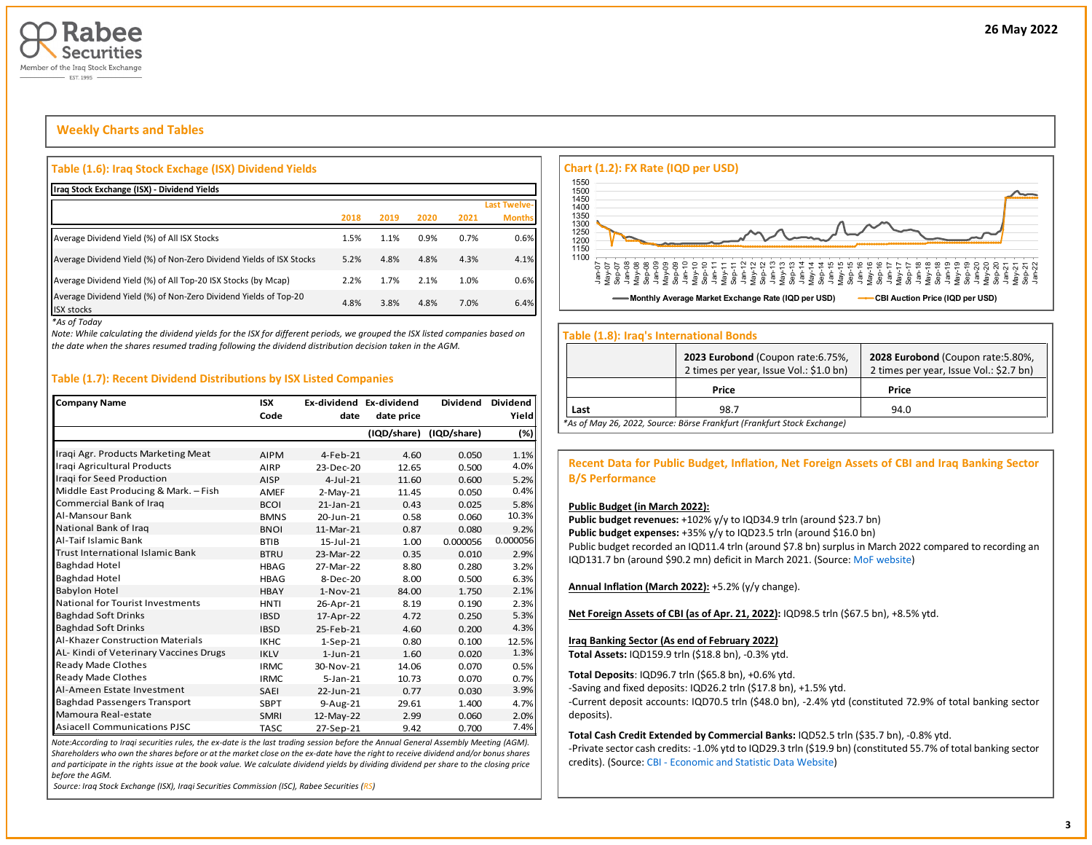

## **Weekly Charts and Tables**

#### **Table (1.6): Iraq Stock Exchage (ISX) Dividend Yields**

| Iraq Stock Exchange (ISX) - Dividend Yields                                           |      |      |      |      |                     |
|---------------------------------------------------------------------------------------|------|------|------|------|---------------------|
|                                                                                       |      |      |      |      | <b>Last Twelve-</b> |
|                                                                                       | 2018 | 2019 | 2020 | 2021 | <b>Months</b>       |
| Average Dividend Yield (%) of All ISX Stocks                                          | 1.5% | 1.1% | 0.9% | 0.7% | 0.6%                |
| Average Dividend Yield (%) of Non-Zero Dividend Yields of ISX Stocks                  | 5.2% | 4.8% | 4.8% | 4.3% | 4.1%                |
| Average Dividend Yield (%) of All Top-20 ISX Stocks (by Mcap)                         | 2.2% | 1.7% | 2.1% | 1.0% | 0.6%                |
| Average Dividend Yield (%) of Non-Zero Dividend Yields of Top-20<br><b>ISX stocks</b> | 4.8% | 3.8% | 4.8% | 7.0% | 6.4%                |

*\*As of Today*

*Note: While calculating the dividend yields for the ISX for different periods, we grouped the ISX listed companies based on the date when the shares resumed trading following the dividend distribution decision taken in the AGM.* 

#### **Table (1.7): Recent Dividend Distributions by ISX Listed Companies**

| <b>Company Name</b>                     | <b>ISX</b>  | Ex-dividend Ex-dividend |             | <b>Dividend</b> | <b>Dividend</b> |
|-----------------------------------------|-------------|-------------------------|-------------|-----------------|-----------------|
|                                         | Code        | date                    | date price  |                 | Yield           |
|                                         |             |                         | (IQD/share) | (IQD/share)     | (%)             |
| Iraqi Agr. Products Marketing Meat      | <b>AIPM</b> | 4-Feb-21                | 4.60        | 0.050           | 1.1%            |
| Iraqi Agricultural Products             | AIRP        | 23-Dec-20               | 12.65       | 0.500           | 4.0%            |
| Iraqi for Seed Production               | <b>AISP</b> | $4$ -Jul-21             | 11.60       | 0.600           | 5.2%            |
| Middle East Producing & Mark. - Fish    | AMEF        | $2-May-21$              | 11.45       | 0.050           | 0.4%            |
| Commercial Bank of Iraq                 | <b>BCOI</b> | $21$ -Jan- $21$         | 0.43        | 0.025           | 5.8%            |
| Al-Mansour Bank                         | <b>BMNS</b> | 20-Jun-21               | 0.58        | 0.060           | 10.3%           |
| National Bank of Iraq                   | <b>BNOI</b> | 11-Mar-21               | 0.87        | 0.080           | 9.2%            |
| Al-Taif Islamic Bank                    | <b>BTIB</b> | 15-Jul-21               | 1.00        | 0.000056        | 0.000056        |
| <b>Trust International Islamic Bank</b> | <b>BTRU</b> | 23-Mar-22               | 0.35        | 0.010           | 2.9%            |
| <b>Baghdad Hotel</b>                    | <b>HBAG</b> | 27-Mar-22               | 8.80        | 0.280           | 3.2%            |
| <b>Baghdad Hotel</b>                    | <b>HBAG</b> | 8-Dec-20                | 8.00        | 0.500           | 6.3%            |
| <b>Babylon Hotel</b>                    | <b>HBAY</b> | $1-Nov-21$              | 84.00       | 1.750           | 2.1%            |
| <b>National for Tourist Investments</b> | <b>HNTI</b> | 26-Apr-21               | 8.19        | 0.190           | 2.3%            |
| <b>Baghdad Soft Drinks</b>              | <b>IBSD</b> | 17-Apr-22               | 4.72        | 0.250           | 5.3%            |
| <b>Baghdad Soft Drinks</b>              | <b>IBSD</b> | 25-Feb-21               | 4.60        | 0.200           | 4.3%            |
| <b>Al-Khazer Construction Materials</b> | <b>IKHC</b> | $1-Sep-21$              | 0.80        | 0.100           | 12.5%           |
| AL-Kindi of Veterinary Vaccines Drugs   | <b>IKLV</b> | $1$ -Jun-21             | 1.60        | 0.020           | 1.3%            |
| Ready Made Clothes                      | <b>IRMC</b> | 30-Nov-21               | 14.06       | 0.070           | 0.5%            |
| Ready Made Clothes                      | <b>IRMC</b> | $5 - Jan - 21$          | 10.73       | 0.070           | 0.7%            |
| Al-Ameen Estate Investment              | <b>SAEI</b> | 22-Jun-21               | 0.77        | 0.030           | 3.9%            |
| <b>Baghdad Passengers Transport</b>     | <b>SBPT</b> | 9-Aug-21                | 29.61       | 1.400           | 4.7%            |
| Mamoura Real-estate                     | <b>SMRI</b> | 12-May-22               | 2.99        | 0.060           | 2.0%            |
| <b>Asiacell Communications PJSC</b>     | <b>TASC</b> | 27-Sep-21               | 9.42        | 0.700           | 7.4%            |

*Note:According to Iraqi securities rules, the ex-date is the last trading session before the Annual General Assembly Meeting (AGM). Shareholders who own the shares before or at the market close on the ex-date have the right to receive dividend and/or bonus shares and participate in the rights issue at the book value. We calculate dividend yields by dividing dividend per share to the closing price before the AGM.*

*Source: Iraq Stock Exchange (ISX), Iraqi Securities Commission (ISC), Rabee Securities (RS)*



#### **Table (1.8): Iraq's International Bonds**

|      | 2023 Eurobond (Coupon rate: 6.75%,<br>2 times per year, Issue Vol.: \$1.0 bn) | 2028 Eurobond (Coupon rate: 5.80%,<br>2 times per year, Issue Vol.: \$2.7 bn) |
|------|-------------------------------------------------------------------------------|-------------------------------------------------------------------------------|
|      | Price                                                                         | Price                                                                         |
| Last | 98.7                                                                          | 94.0                                                                          |
|      | *As of May 26, 2022, Source: Börse Frankfurt (Frankfurt Stock Exchange)       |                                                                               |

**Recent Data for Public Budget, Inflation, Net Foreign Assets of CBI and Iraq Banking Sector B/S Performance**

#### **Public Budget (in March 2022):**

Public budget revenues: +102% y/y to IQD34.9 trln (around \$23.7 bn) Public budget expenses: +35% y/y to IQD23.5 trln (around \$16.0 bn) Public budget recorded an IQD11.4 trln (around \$7.8 bn) surplus in March 2022 compared to recording an IQD131.7 bn (around \$90.2 mn) deficit in March 2021. (Source[: MoF website\)](http://mof.gov.iq/obs/ar/Pages/obsDocuments.aspx)

**Annual Inflation (March 2022):** +5.2% (y/y change).

**Net Foreign Assets of CBI (as of Apr. 21, 2022):** IQD98.5 trln (\$67.5 bn), +8.5% ytd.

#### **Iraq Banking Sector (As end of February 2022)**

**Total Assets:** IQD159.9 trln (\$18.8 bn), -0.3% ytd.

**Total Deposits**: IQD96.7 trln (\$65.8 bn), +0.6% ytd.

-Saving and fixed deposits: IQD26.2 trln (\$17.8 bn), +1.5% ytd.

-Current deposit accounts: IQD70.5 trln (\$48.0 bn), -2.4% ytd (constituted 72.9% of total banking sector deposits).

**Total Cash Credit Extended by Commercial Banks:** IQD52.5 trln (\$35.7 bn), -0.8% ytd.

-Private sector cash credits: -1.0% ytd to IQD29.3 trln (\$19.9 bn) (constituted 55.7% of total banking sector credits). (Source: CBI - [Economic and Statistic Data Website\)](https://cbiraq.org/)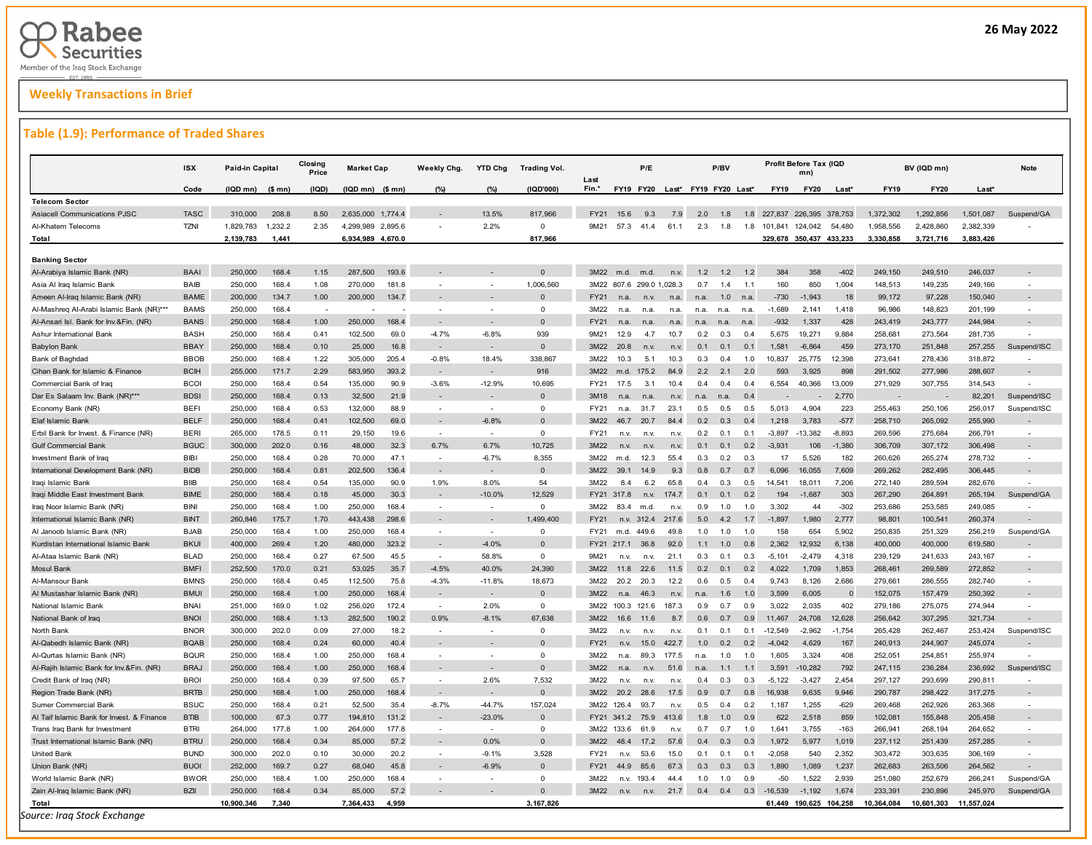## **Weekly Transactions in Brief**

#### **Table (1.9): Performance of Traded Shares**

| Fin.*<br>FY19 FY20 Last* FY19 FY20 Last*<br><b>FY19</b><br>Code<br>(IQD mn)<br>$(S \text{ mn})$<br>(IQD)<br>$(IQD$ mn) $(S$ mn)<br>(%)<br>(%)<br>(IQD'000)<br><b>FY20</b><br>$Last*$<br><b>FY19</b><br><b>FY20</b><br>Last <sup>®</sup><br><b>Telecom Sector</b><br><b>Asiacell Communications PJSC</b><br><b>TASC</b><br>310,000<br>208.8<br>8.50<br>2,635,000 1,774.4<br>13.5%<br>817,966<br>FY21<br>9.3<br>7.9<br>2.0<br>226,395<br>1,372,302<br>1,292,856<br>1,501,087<br>15.6<br>1.8<br>1.8<br>227.837<br>378.753<br>$\mathbf 0$<br><b>TZNI</b><br>1,232.2<br>2.35<br>4,299,989 2,895.6<br>2.2%<br>57.3<br>41.4<br>2.3<br>2,382,339<br>Al-Khatem Telecoms<br>1,829,783<br>9M21<br>61.1<br>1.8<br>1.8<br>101,841<br>124,042<br>54,480<br>1,958,556<br>2,428,860<br>2,139,783<br>6,934,989 4,670.0<br>817,966<br>329,678 350,437 433,233<br>3,330,858<br>3,721,716<br>3,883,426<br>Total<br>1,441<br><b>Banking Sector</b><br><b>BAAI</b><br>193.6<br>$\Omega$<br>3M22<br>1.2<br>Al-Arabiya Islamic Bank (NR)<br>250,000<br>168.4<br>1.15<br>287,500<br>m.d.<br>m.d.<br>n.v.<br>12<br>1.2<br>384<br>358<br>$-402$<br>249,150<br>249,510<br>246,037<br>BAIB<br>168.4<br>1.08<br>1,006,560<br>3M22 807.6 299.0 1,028.3<br>160<br>850<br>249,166<br>Asia Al Iraq Islamic Bank<br>250,000<br>270,000<br>181.8<br>0. Z<br>14<br>1.1<br>1,004<br>148,513<br>149,235<br>÷.<br>Ameen Al-Iraq Islamic Bank (NR)<br><b>BAME</b><br>200,000<br>134.7<br>1.00<br>200,000<br>134.7<br>$\Omega$<br>FY21<br>$-730$<br>$-1,943$<br>18<br>99,172<br>97,228<br>150,040<br>n.a.<br>n.v<br>n.a.<br>1.0<br>n.a.<br>n.a.<br><b>BAMS</b><br>250,000<br>168.4<br>$\circ$<br>$-1,689$<br>1,418<br>148,823<br>Al-Mashreq Al-Arabi Islamic Bank (NR)***<br>3M22<br>2,141<br>96,986<br>201,199<br>n.a.<br>n.a<br>n.a.<br>n.a.<br>n.a.<br>n.a<br><b>BANS</b><br>168.4<br>1.00<br>250,000<br>168.4<br>$\Omega$<br>428<br>243,777<br>Al-Ansari Isl. Bank for Inv.&Fin. (NR)<br>250,000<br>FY21<br>$-932$<br>1,337<br>243,419<br>244,984<br>n.a<br>n.a<br>n.a.<br>n.a<br><b>BASH</b><br>939<br>Ashur International Bank<br>250,000<br>168.4<br>0.41<br>102,500<br>69.0<br>$-4.7%$<br>$-6.8%$<br>9M21<br>12.9<br>47<br>10.7<br>0.2<br>0.3<br>0.4<br>5,675<br>19,271<br>9,884<br>258,681<br>273,564<br>281,735<br><b>BBAY</b><br>$\Omega$<br>250,000<br>168.4<br>0.10<br>25,000<br>16.8<br>3M22<br>0.1<br>0.1<br>0.1<br>1,581<br>$-6,864$<br>459<br>273,170<br>257,255<br><b>Babylon Bank</b><br>20.8<br>n.v<br>n.v.<br>251,848<br><b>BBOB</b><br>168.4<br>338,867<br>278,436<br>Bank of Baghdad<br>250,000<br>1.22<br>305,000<br>205.4<br>$-0.8%$<br>18.4%<br>3M22<br>10.3<br>5.1<br>10.3<br>0.3<br>0.4<br>1.0<br>10,837<br>25,775<br>12,398<br>273,641<br>318,872<br><b>BCIH</b><br>916<br>Cihan Bank for Islamic & Finance<br>255,000<br>171.7<br>2.29<br>583,950<br>393.2<br>3M22<br>2.2<br>2.1<br>2.0<br>593<br>3,925<br>898<br>291,502<br>277,986<br>288,607<br>m.d.<br>175.2<br>84.9<br>$\sim$<br><b>BCOI</b><br>168.4<br>90.9<br>$-3.6%$<br>$-12.9%$<br>10,695<br>6,554<br>13,009<br>271,929<br>Commercial Bank of Iraq<br>250,000<br>0.54<br>135,000<br>FY21<br>17.5<br>3.1<br>10.4<br>0.4<br>0.4<br>0.4<br>40,366<br>307,755<br>314,543<br><b>BDSI</b><br>168.4<br>0.13<br>Dar Es Salaam Inv. Bank (NR)***<br>250,000<br>32,500<br>21.9<br>$\Omega$<br>3M18<br>2,770<br>82,201<br>n.a.<br>n.a.<br>n.v.<br>0.4<br>n.a<br>n.a<br><b>BEFI</b><br>168.4<br>0.53<br>255,463<br>250,106<br>Economy Bank (NR)<br>250,000<br>132,000<br>88.9<br>$\Omega$<br>FY21<br>31.7<br>23.1<br>0.5<br>0.5<br>0.5<br>5,013<br>4,904<br>223<br>256,017<br>n.a.<br><b>BELF</b><br>168.4<br>0.41<br>102,500<br>69.0<br>$-6.8%$<br>20.7<br>3,783<br>$-577$<br>265,092<br>255,990<br>Elaf Islamic Bank<br>250,000<br>$\Omega$<br>3M22<br>84.4<br>0.2<br>0.3<br>0.4<br>1,218<br>258,710<br>46.7<br><b>BERI</b><br>178.5<br>Erbil Bank for Invest. & Finance (NR)<br>265,000<br>0.11<br>29,150<br>19.6<br>$\Omega$<br>FY21<br>0.2<br>0.1<br>0.1<br>$-3,897$<br>$-13,382$<br>$-8,893$<br>269,596<br>275,684<br>266,791<br>n.v.<br>n.v<br>n.v<br><b>BGUC</b><br>300,000<br>202.0<br>0.16<br>48,000<br>32.3<br>6.7%<br>6.7%<br>10,725<br>3M22<br>106<br>$-1,380$<br>307,172<br>306,498<br><b>Gulf Commercial Bank</b><br>0.1<br>0.1<br>0.2<br>$-3.931$<br>306,709<br>n.v.<br>n.v<br>n.v<br>Investment Bank of Iraq<br>BIBI<br>250,000<br>168.4<br>0.28<br>70,000<br>47.1<br>$-6.7%$<br>8,355<br>3M22<br>12.3<br>55.4<br>0.2<br>0.3<br>17<br>5,526<br>182<br>260,626<br>265,274<br>278,732<br>m.d.<br>0.3<br><b>BIDB</b><br>168.4<br>0.81<br>202,500<br>136.4<br>$\Omega$<br>3M22<br>7,609<br>282,495<br>306,445<br>International Development Bank (NR)<br>250,000<br>39.1<br>14.9<br>9.3<br>0.8<br>0.7<br>0.7<br>6.096<br>16,055<br>269,262<br><b>BIIB</b><br>168.4<br>1.9%<br>8.0%<br>54<br>Iraqi Islamic Bank<br>250,000<br>0.54<br>135,000<br>90.9<br>3M22<br>8.4<br>6.2<br>65.8<br>0.4<br>0.3<br>0.5<br>14,541<br>18,011<br>7,206<br>272,140<br>289,594<br>282,676<br>12.529<br><b>BIME</b><br>250,000<br>168.4<br>0.18<br>45,000<br>30.3<br>$-10.0%$<br>FY21 317.8<br>$-1,687$<br>303<br>267,290<br>264,891<br>265,194<br>Iraqi Middle East Investment Bank<br>174.7<br>0.1<br>0.1<br>0.2<br>194<br>n.v.<br>$\circ$<br>Iraq Noor Islamic Bank (NR)<br><b>BINI</b><br>250,000<br>168.4<br>1.00<br>250,000<br>168.4<br>3M22<br>83.4<br>1.0<br>3,302<br>44<br>$-302$<br>253,686<br>253,585<br>249,085<br>m.d.<br>n.v.<br>0.9<br>1.0<br>$\sim$<br><b>BINT</b><br>443,438<br>298.6<br>1.499.400<br>5.0<br>1,980<br>2,777<br>260,374<br>International Islamic Bank (NR)<br>260,846<br>175.7<br>1.70<br>FY21<br>n.v.<br>312.4<br>217.6<br>4.2<br>1.7<br>$-1.897$<br>98,801<br>100,541<br><b>BJAB</b><br>250,000<br>168.4<br>1.00<br>250,000<br>168.4<br>$\Omega$<br>FY21<br>449.6<br>158<br>654<br>5,902<br>250,835<br>251,329<br>256,219<br>Al Janoob Islamic Bank (NR)<br>49.8<br>1.0<br>1.0<br>1.0<br>m.d.<br>$\sim$<br><b>BKUI</b><br>269.4<br>480,000<br>323.2<br>$-4.0%$<br>$\Omega$<br>400,000<br>400,000<br>Kurdistan International Islamic Bank<br>400,000<br>1.20<br>FY21<br>217.1<br>36.8<br>92.0<br>1.0<br>0.8<br>2.362<br>12.932<br>6,138<br>619,580<br>1.1<br><b>BLAD</b><br>168.4<br>0.27<br>67,500<br>58.8%<br>$\Omega$<br>0.1<br>239,129<br>243, 167<br>Al-Ataa Islamic Bank (NR)<br>250,000<br>45.5<br>9M21<br>21.1<br>0.3<br>0.3<br>$-5,101$<br>$-2,479$<br>4,318<br>241,633<br>$\sim$<br>n.v.<br>n.v.<br><b>Mosul Bank</b><br><b>BMFI</b><br>252,500<br>170.0<br>0.21<br>53,025<br>35.7<br>$-4.5%$<br>40.0%<br>24,390<br>22.6<br>0.2<br>0.1<br>1,853<br>268,461<br>269,589<br>272,852<br>3M22<br>11.8<br>11.5<br>0.2<br>4.022<br>1,709<br><b>BMNS</b><br>250,000<br>168.4<br>0.45<br>112,500<br>75.8<br>$-4.3%$<br>18,673<br>3M22<br>20.3<br>0.5<br>9,743<br>8,126<br>2,686<br>279,661<br>282,740<br>Al-Mansour Bank<br>$-11.8%$<br>20.2<br>12.2<br>0.6<br>0.4<br>286,555<br>Al Mustashar Islamic Bank (NR)<br>168.4<br><b>BMUI</b><br>250,000<br>168.4<br>1.00<br>250,000<br>$\Omega$<br>3M22<br>46.3<br>1.0<br>3,599<br>6,005<br>152,075<br>157,479<br>250,392<br>n.a<br>n.v<br>1.6<br>National Islamic Bank<br><b>BNAI</b><br>251.000<br>169.0<br>1.02<br>256,020<br>172.4<br>2.0%<br>$\circ$<br>3M22 100.3 121.6<br>0.7<br>0.9<br>2.035<br>402<br>279.186<br>275,075<br>274.944<br>187.3<br>0.9<br>3.022<br><b>BNOI</b><br>168.4<br>190.2<br>0.9%<br>67.638<br>National Bank of Iraq<br>250,000<br>1.13<br>282,500<br>$-8.1%$<br>3M22<br>16.6<br>11.6<br>8.7<br>0.6<br>0.7<br>0.9<br>11,467<br>24,708<br>12,628<br>256,642<br>307,295<br>321,734<br>North Bank<br><b>BNOR</b><br>300,000<br>202.0<br>0.09<br>27,000<br>18.2<br>$\circ$<br>3M22<br>0.1<br>0.1<br>$-12.549$<br>$-2.962$<br>$-1.754$<br>265.428<br>262.467<br>253,424<br>0.1<br>n.v<br>n.v.<br>n.v.<br><b>BQAB</b><br>40.4<br>Al-Qabedh Islamic Bank (NR)<br>250,000<br>168.4<br>0.24<br>60,000<br>$\Omega$<br>FY21<br>15.0<br>422.7<br>1.0<br>0.2<br>0.2<br>$-4.042$<br>4,629<br>167<br>240,913<br>244,907<br>245,074<br>n.v.<br>Al-Qurtas Islamic Bank (NR)<br><b>BQUR</b><br>250,000<br>168.4<br>1.00<br>250,000<br>168.4<br>$\Omega$<br>3M22<br>89.3<br>1.0<br>1.0<br>1.605<br>3.324<br>408<br>252.051<br>254.851<br>255.974<br>177.5<br>n.a.<br>$\sim$<br>n.a.<br><b>BRAJ</b><br>168.4<br>168.4<br>$\Omega$<br>247,115<br>236,284<br>Al-Rajih Islamic Bank for Inv.&Fin. (NR)<br>250,000<br>1.00<br>250,000<br>3M22<br>51.6<br>1.1<br>3,591<br>$-10,282$<br>792<br>236,692<br>n.a.<br>n.v<br>n.a<br>1.1<br>7.532<br><b>BROI</b><br>250,000<br>168.4<br>0.39<br>97.500<br>65.7<br>2.6%<br>3M22<br>0.3<br>0.3<br>$-5.122$<br>$-3.427$<br>2.454<br>297, 127<br>293.699<br>290.811<br>Credit Bank of Iraq (NR)<br>0.4<br>n.v<br>n.v<br>n.v.<br><b>BRTB</b><br>168.4<br>1.00<br>250,000<br>168.4<br>$\Omega$<br>20.2<br>28.6<br>17.5<br>0.7<br>0.8<br>16,938<br>9,635<br>9,946<br>290,787<br>298,422<br>317,275<br>Region Trade Bank (NR)<br>250,000<br>3M22<br>0.9<br>$\sim$<br><b>BSUC</b><br>250,000<br>168.4<br>0.21<br>52,500<br>35.4<br>$-8.7%$<br>$-44.7%$<br>157,024<br>3M22<br>93.7<br>0.4<br>0.2<br>1,187<br>1,255<br>$-629$<br>269,468<br>262,926<br>263,368<br>Sumer Commercial Bank<br>126.4<br>n.v<br>0.5<br><b>BTIB</b><br>$-23.0%$<br>100,000<br>67.3<br>0.77<br>194,810<br>131.2<br>$\Omega$<br>0.9<br>622<br>2,518<br>859<br>102,081<br>155,848<br>205,458<br>Al Taif Islamic Bank for Invest. & Finance<br>FY21 341.2<br>75.9<br>413.6<br>1.8<br>1.0<br>Trans Iraq Bank for Investment<br><b>BTRI</b><br>264,000<br>177.8<br>1.00<br>264,000<br>177.8<br>$\Omega$<br>3M22<br>1,641<br>3,755<br>$-163$<br>266,941<br>268,194<br>264.652<br>$\sim$<br>133.6<br>61.9<br>n.v.<br>0.7<br>0.7<br>1.0<br><b>BTRU</b><br>0.0%<br>250,000<br>168.4<br>0.34<br>85,000<br>57.2<br>3M22<br>1,972<br>1,019<br>237,112<br>251,439<br>257,285<br>Trust International Islamic Bank (NR)<br>$\Omega$<br>484<br>17.2<br>57.6<br>0.4<br>0.3<br>0.3<br>5,977<br><b>United Bank</b><br><b>BUND</b><br>300,000<br>202.0<br>0.10<br>30,000<br>20.2<br>$-9.1%$<br>3.528<br>FY21<br>53.6<br>15.0<br>0.1<br>0.1<br>0.1<br>$-2.058$<br>540<br>2,352<br>303,472<br>303,635<br>306,169<br>n.v.<br><b>BUOI</b><br>252,000<br>169.7<br>0.27<br>262,683<br>Union Bank (NR)<br>68,040<br>45.8<br>$-6.9%$<br>$\Omega$<br><b>FY21</b><br>67.3<br>0.3<br>0.3<br>1.089<br>1,237<br>263,506<br>264,562<br>44.9<br>85.6<br>0.3<br>1.890<br><b>BWOR</b><br>168.4<br>168.4<br>$\circ$<br>World Islamic Bank (NR)<br>250,000<br>1.00<br>250,000<br>3M22<br>193.4<br>44.4<br>1.0<br>1.0<br>0.9<br>-50<br>1,522<br>2,939<br>251,080<br>252,679<br>266,241<br>÷.<br>n.v.<br>Zain Al-Iraq Islamic Bank (NR)<br><b>BZII</b><br>250,000<br>168.4<br>0.34<br>85,000<br>57.2<br>$\Omega$<br>3M22<br>21.7<br>0.4<br>0.4<br>0.3<br>$-16.539$<br>$-1.192$<br>1.674<br>233.391<br>230,896<br>245,970<br>n.v.<br>n.v.<br>10,900,346<br>3,167,826<br>10,364,084<br>7,340<br>7,364,433<br>4,959<br>61,449 190,625 104,258<br>10,601,303<br>11,557,024<br>Total | <b>ISX</b> | Paid-in Capital | Closing<br>Price | <b>Market Cap</b> | Weekly Chg. | <b>YTD Chg</b> | <b>Trading Vol.</b> |      | P/E |  | P/BV |  | Profit Before Tax (IQD<br>mn |  | BV (IQD mn) | <b>Note</b> |
|----------------------------------------------------------------------------------------------------------------------------------------------------------------------------------------------------------------------------------------------------------------------------------------------------------------------------------------------------------------------------------------------------------------------------------------------------------------------------------------------------------------------------------------------------------------------------------------------------------------------------------------------------------------------------------------------------------------------------------------------------------------------------------------------------------------------------------------------------------------------------------------------------------------------------------------------------------------------------------------------------------------------------------------------------------------------------------------------------------------------------------------------------------------------------------------------------------------------------------------------------------------------------------------------------------------------------------------------------------------------------------------------------------------------------------------------------------------------------------------------------------------------------------------------------------------------------------------------------------------------------------------------------------------------------------------------------------------------------------------------------------------------------------------------------------------------------------------------------------------------------------------------------------------------------------------------------------------------------------------------------------------------------------------------------------------------------------------------------------------------------------------------------------------------------------------------------------------------------------------------------------------------------------------------------------------------------------------------------------------------------------------------------------------------------------------------------------------------------------------------------------------------------------------------------------------------------------------------------------------------------------------------------------------------------------------------------------------------------------------------------------------------------------------------------------------------------------------------------------------------------------------------------------------------------------------------------------------------------------------------------------------------------------------------------------------------------------------------------------------------------------------------------------------------------------------------------------------------------------------------------------------------------------------------------------------------------------------------------------------------------------------------------------------------------------------------------------------------------------------------------------------------------------------------------------------------------------------------------------------------------------------------------------------------------------------------------------------------------------------------------------------------------------------------------------------------------------------------------------------------------------------------------------------------------------------------------------------------------------------------------------------------------------------------------------------------------------------------------------------------------------------------------------------------------------------------------------------------------------------------------------------------------------------------------------------------------------------------------------------------------------------------------------------------------------------------------------------------------------------------------------------------------------------------------------------------------------------------------------------------------------------------------------------------------------------------------------------------------------------------------------------------------------------------------------------------------------------------------------------------------------------------------------------------------------------------------------------------------------------------------------------------------------------------------------------------------------------------------------------------------------------------------------------------------------------------------------------------------------------------------------------------------------------------------------------------------------------------------------------------------------------------------------------------------------------------------------------------------------------------------------------------------------------------------------------------------------------------------------------------------------------------------------------------------------------------------------------------------------------------------------------------------------------------------------------------------------------------------------------------------------------------------------------------------------------------------------------------------------------------------------------------------------------------------------------------------------------------------------------------------------------------------------------------------------------------------------------------------------------------------------------------------------------------------------------------------------------------------------------------------------------------------------------------------------------------------------------------------------------------------------------------------------------------------------------------------------------------------------------------------------------------------------------------------------------------------------------------------------------------------------------------------------------------------------------------------------------------------------------------------------------------------------------------------------------------------------------------------------------------------------------------------------------------------------------------------------------------------------------------------------------------------------------------------------------------------------------------------------------------------------------------------------------------------------------------------------------------------------------------------------------------------------------------------------------------------------------------------------------------------------------------------------------------------------------------------------------------------------------------------------------------------------------------------------------------------------------------------------------------------------------------------------------------------------------------------------------------------------------------------------------------------------------------------------------------------------------------------------------------------------------------------------------------------------------------------------------------------------------------------------------------------------------------------------------------------------------------------------------------------------------------------------------------------------------------------------------------------------------------------------------------------------------------------------------------------------------------------------------------------------------------------------------------------------------------------------------------------------------------------------------------------------------------------------------------------------------------------------------------------------------------------------------------------------------------------------------------------------------------------------------------------------------------------------------------------------------------------------------------------------------------------------------------------------------------------------------------------------------------------------------------------------------------------------------------------------------------------------------------------------------------------------------------------------------------------------------------------------------------------------------------------------------------------------------------------------------------------------------------------------------------------------------------------------------------------------------------------------------------------------------------------------------------------------------------------------------------------------------------------------------------------------------------------------------------------------------------------------------------------------------------------------------------------------------------------------------------------------------------------------------------------------------------------------------------------------------------------------------------------------------------------------------------------------------------------------------------------------------------------------------------------------------------------------------------------------------------------------------------------------------------------------------------------------------------------------------------------------------------------------------------------------------------------------------------------------------------------------------------------------------------------------------------------------------------------------------------------------------------------------------------------------------------------------------------------------------------------------------------------------------------------------------------------------------------------------------------------------------------------------------------------------------------------------|------------|-----------------|------------------|-------------------|-------------|----------------|---------------------|------|-----|--|------|--|------------------------------|--|-------------|-------------|
|                                                                                                                                                                                                                                                                                                                                                                                                                                                                                                                                                                                                                                                                                                                                                                                                                                                                                                                                                                                                                                                                                                                                                                                                                                                                                                                                                                                                                                                                                                                                                                                                                                                                                                                                                                                                                                                                                                                                                                                                                                                                                                                                                                                                                                                                                                                                                                                                                                                                                                                                                                                                                                                                                                                                                                                                                                                                                                                                                                                                                                                                                                                                                                                                                                                                                                                                                                                                                                                                                                                                                                                                                                                                                                                                                                                                                                                                                                                                                                                                                                                                                                                                                                                                                                                                                                                                                                                                                                                                                                                                                                                                                                                                                                                                                                                                                                                                                                                                                                                                                                                                                                                                                                                                                                                                                                                                                                                                                                                                                                                                                                                                                                                                                                                                                                                                                                                                                                                                                                                                                                                                                                                                                                                                                                                                                                                                                                                                                                                                                                                                                                                                                                                                                                                                                                                                                                                                                                                                                                                                                                                                                                                                                                                                                                                                                                                                                                                                                                                                                                                                                                                                                                                                                                                                                                                                                                                                                                                                                                                                                                                                                                                                                                                                                                                                                                                                                                                                                                                                                                                                                                                                                                                                                                                                                                                                                                                                                                                                                                                                                                                                                                                                                                                                                                                                                                                                                                                                                                                                                                                                                                                                                                                                                                                                                                                                                                                                                                                                                                                                                                                                                                                                                                                                                                                                                                                                                                                                                                                                                                                                                                                                                                                                                                                                                                                                                                                                                                                                                                                                                                                          |            |                 |                  |                   |             |                |                     | Last |     |  |      |  |                              |  |             |             |
|                                                                                                                                                                                                                                                                                                                                                                                                                                                                                                                                                                                                                                                                                                                                                                                                                                                                                                                                                                                                                                                                                                                                                                                                                                                                                                                                                                                                                                                                                                                                                                                                                                                                                                                                                                                                                                                                                                                                                                                                                                                                                                                                                                                                                                                                                                                                                                                                                                                                                                                                                                                                                                                                                                                                                                                                                                                                                                                                                                                                                                                                                                                                                                                                                                                                                                                                                                                                                                                                                                                                                                                                                                                                                                                                                                                                                                                                                                                                                                                                                                                                                                                                                                                                                                                                                                                                                                                                                                                                                                                                                                                                                                                                                                                                                                                                                                                                                                                                                                                                                                                                                                                                                                                                                                                                                                                                                                                                                                                                                                                                                                                                                                                                                                                                                                                                                                                                                                                                                                                                                                                                                                                                                                                                                                                                                                                                                                                                                                                                                                                                                                                                                                                                                                                                                                                                                                                                                                                                                                                                                                                                                                                                                                                                                                                                                                                                                                                                                                                                                                                                                                                                                                                                                                                                                                                                                                                                                                                                                                                                                                                                                                                                                                                                                                                                                                                                                                                                                                                                                                                                                                                                                                                                                                                                                                                                                                                                                                                                                                                                                                                                                                                                                                                                                                                                                                                                                                                                                                                                                                                                                                                                                                                                                                                                                                                                                                                                                                                                                                                                                                                                                                                                                                                                                                                                                                                                                                                                                                                                                                                                                                                                                                                                                                                                                                                                                                                                                                                                                                                                                                                          |            |                 |                  |                   |             |                |                     |      |     |  |      |  |                              |  |             |             |
|                                                                                                                                                                                                                                                                                                                                                                                                                                                                                                                                                                                                                                                                                                                                                                                                                                                                                                                                                                                                                                                                                                                                                                                                                                                                                                                                                                                                                                                                                                                                                                                                                                                                                                                                                                                                                                                                                                                                                                                                                                                                                                                                                                                                                                                                                                                                                                                                                                                                                                                                                                                                                                                                                                                                                                                                                                                                                                                                                                                                                                                                                                                                                                                                                                                                                                                                                                                                                                                                                                                                                                                                                                                                                                                                                                                                                                                                                                                                                                                                                                                                                                                                                                                                                                                                                                                                                                                                                                                                                                                                                                                                                                                                                                                                                                                                                                                                                                                                                                                                                                                                                                                                                                                                                                                                                                                                                                                                                                                                                                                                                                                                                                                                                                                                                                                                                                                                                                                                                                                                                                                                                                                                                                                                                                                                                                                                                                                                                                                                                                                                                                                                                                                                                                                                                                                                                                                                                                                                                                                                                                                                                                                                                                                                                                                                                                                                                                                                                                                                                                                                                                                                                                                                                                                                                                                                                                                                                                                                                                                                                                                                                                                                                                                                                                                                                                                                                                                                                                                                                                                                                                                                                                                                                                                                                                                                                                                                                                                                                                                                                                                                                                                                                                                                                                                                                                                                                                                                                                                                                                                                                                                                                                                                                                                                                                                                                                                                                                                                                                                                                                                                                                                                                                                                                                                                                                                                                                                                                                                                                                                                                                                                                                                                                                                                                                                                                                                                                                                                                                                                                                                          |            |                 |                  |                   |             |                |                     |      |     |  |      |  |                              |  |             | Suspend/GA  |
|                                                                                                                                                                                                                                                                                                                                                                                                                                                                                                                                                                                                                                                                                                                                                                                                                                                                                                                                                                                                                                                                                                                                                                                                                                                                                                                                                                                                                                                                                                                                                                                                                                                                                                                                                                                                                                                                                                                                                                                                                                                                                                                                                                                                                                                                                                                                                                                                                                                                                                                                                                                                                                                                                                                                                                                                                                                                                                                                                                                                                                                                                                                                                                                                                                                                                                                                                                                                                                                                                                                                                                                                                                                                                                                                                                                                                                                                                                                                                                                                                                                                                                                                                                                                                                                                                                                                                                                                                                                                                                                                                                                                                                                                                                                                                                                                                                                                                                                                                                                                                                                                                                                                                                                                                                                                                                                                                                                                                                                                                                                                                                                                                                                                                                                                                                                                                                                                                                                                                                                                                                                                                                                                                                                                                                                                                                                                                                                                                                                                                                                                                                                                                                                                                                                                                                                                                                                                                                                                                                                                                                                                                                                                                                                                                                                                                                                                                                                                                                                                                                                                                                                                                                                                                                                                                                                                                                                                                                                                                                                                                                                                                                                                                                                                                                                                                                                                                                                                                                                                                                                                                                                                                                                                                                                                                                                                                                                                                                                                                                                                                                                                                                                                                                                                                                                                                                                                                                                                                                                                                                                                                                                                                                                                                                                                                                                                                                                                                                                                                                                                                                                                                                                                                                                                                                                                                                                                                                                                                                                                                                                                                                                                                                                                                                                                                                                                                                                                                                                                                                                                                                                          |            |                 |                  |                   |             |                |                     |      |     |  |      |  |                              |  |             |             |
|                                                                                                                                                                                                                                                                                                                                                                                                                                                                                                                                                                                                                                                                                                                                                                                                                                                                                                                                                                                                                                                                                                                                                                                                                                                                                                                                                                                                                                                                                                                                                                                                                                                                                                                                                                                                                                                                                                                                                                                                                                                                                                                                                                                                                                                                                                                                                                                                                                                                                                                                                                                                                                                                                                                                                                                                                                                                                                                                                                                                                                                                                                                                                                                                                                                                                                                                                                                                                                                                                                                                                                                                                                                                                                                                                                                                                                                                                                                                                                                                                                                                                                                                                                                                                                                                                                                                                                                                                                                                                                                                                                                                                                                                                                                                                                                                                                                                                                                                                                                                                                                                                                                                                                                                                                                                                                                                                                                                                                                                                                                                                                                                                                                                                                                                                                                                                                                                                                                                                                                                                                                                                                                                                                                                                                                                                                                                                                                                                                                                                                                                                                                                                                                                                                                                                                                                                                                                                                                                                                                                                                                                                                                                                                                                                                                                                                                                                                                                                                                                                                                                                                                                                                                                                                                                                                                                                                                                                                                                                                                                                                                                                                                                                                                                                                                                                                                                                                                                                                                                                                                                                                                                                                                                                                                                                                                                                                                                                                                                                                                                                                                                                                                                                                                                                                                                                                                                                                                                                                                                                                                                                                                                                                                                                                                                                                                                                                                                                                                                                                                                                                                                                                                                                                                                                                                                                                                                                                                                                                                                                                                                                                                                                                                                                                                                                                                                                                                                                                                                                                                                                                                          |            |                 |                  |                   |             |                |                     |      |     |  |      |  |                              |  |             |             |
|                                                                                                                                                                                                                                                                                                                                                                                                                                                                                                                                                                                                                                                                                                                                                                                                                                                                                                                                                                                                                                                                                                                                                                                                                                                                                                                                                                                                                                                                                                                                                                                                                                                                                                                                                                                                                                                                                                                                                                                                                                                                                                                                                                                                                                                                                                                                                                                                                                                                                                                                                                                                                                                                                                                                                                                                                                                                                                                                                                                                                                                                                                                                                                                                                                                                                                                                                                                                                                                                                                                                                                                                                                                                                                                                                                                                                                                                                                                                                                                                                                                                                                                                                                                                                                                                                                                                                                                                                                                                                                                                                                                                                                                                                                                                                                                                                                                                                                                                                                                                                                                                                                                                                                                                                                                                                                                                                                                                                                                                                                                                                                                                                                                                                                                                                                                                                                                                                                                                                                                                                                                                                                                                                                                                                                                                                                                                                                                                                                                                                                                                                                                                                                                                                                                                                                                                                                                                                                                                                                                                                                                                                                                                                                                                                                                                                                                                                                                                                                                                                                                                                                                                                                                                                                                                                                                                                                                                                                                                                                                                                                                                                                                                                                                                                                                                                                                                                                                                                                                                                                                                                                                                                                                                                                                                                                                                                                                                                                                                                                                                                                                                                                                                                                                                                                                                                                                                                                                                                                                                                                                                                                                                                                                                                                                                                                                                                                                                                                                                                                                                                                                                                                                                                                                                                                                                                                                                                                                                                                                                                                                                                                                                                                                                                                                                                                                                                                                                                                                                                                                                                                                          |            |                 |                  |                   |             |                |                     |      |     |  |      |  |                              |  |             |             |
|                                                                                                                                                                                                                                                                                                                                                                                                                                                                                                                                                                                                                                                                                                                                                                                                                                                                                                                                                                                                                                                                                                                                                                                                                                                                                                                                                                                                                                                                                                                                                                                                                                                                                                                                                                                                                                                                                                                                                                                                                                                                                                                                                                                                                                                                                                                                                                                                                                                                                                                                                                                                                                                                                                                                                                                                                                                                                                                                                                                                                                                                                                                                                                                                                                                                                                                                                                                                                                                                                                                                                                                                                                                                                                                                                                                                                                                                                                                                                                                                                                                                                                                                                                                                                                                                                                                                                                                                                                                                                                                                                                                                                                                                                                                                                                                                                                                                                                                                                                                                                                                                                                                                                                                                                                                                                                                                                                                                                                                                                                                                                                                                                                                                                                                                                                                                                                                                                                                                                                                                                                                                                                                                                                                                                                                                                                                                                                                                                                                                                                                                                                                                                                                                                                                                                                                                                                                                                                                                                                                                                                                                                                                                                                                                                                                                                                                                                                                                                                                                                                                                                                                                                                                                                                                                                                                                                                                                                                                                                                                                                                                                                                                                                                                                                                                                                                                                                                                                                                                                                                                                                                                                                                                                                                                                                                                                                                                                                                                                                                                                                                                                                                                                                                                                                                                                                                                                                                                                                                                                                                                                                                                                                                                                                                                                                                                                                                                                                                                                                                                                                                                                                                                                                                                                                                                                                                                                                                                                                                                                                                                                                                                                                                                                                                                                                                                                                                                                                                                                                                                                                                                          |            |                 |                  |                   |             |                |                     |      |     |  |      |  |                              |  |             |             |
|                                                                                                                                                                                                                                                                                                                                                                                                                                                                                                                                                                                                                                                                                                                                                                                                                                                                                                                                                                                                                                                                                                                                                                                                                                                                                                                                                                                                                                                                                                                                                                                                                                                                                                                                                                                                                                                                                                                                                                                                                                                                                                                                                                                                                                                                                                                                                                                                                                                                                                                                                                                                                                                                                                                                                                                                                                                                                                                                                                                                                                                                                                                                                                                                                                                                                                                                                                                                                                                                                                                                                                                                                                                                                                                                                                                                                                                                                                                                                                                                                                                                                                                                                                                                                                                                                                                                                                                                                                                                                                                                                                                                                                                                                                                                                                                                                                                                                                                                                                                                                                                                                                                                                                                                                                                                                                                                                                                                                                                                                                                                                                                                                                                                                                                                                                                                                                                                                                                                                                                                                                                                                                                                                                                                                                                                                                                                                                                                                                                                                                                                                                                                                                                                                                                                                                                                                                                                                                                                                                                                                                                                                                                                                                                                                                                                                                                                                                                                                                                                                                                                                                                                                                                                                                                                                                                                                                                                                                                                                                                                                                                                                                                                                                                                                                                                                                                                                                                                                                                                                                                                                                                                                                                                                                                                                                                                                                                                                                                                                                                                                                                                                                                                                                                                                                                                                                                                                                                                                                                                                                                                                                                                                                                                                                                                                                                                                                                                                                                                                                                                                                                                                                                                                                                                                                                                                                                                                                                                                                                                                                                                                                                                                                                                                                                                                                                                                                                                                                                                                                                                                                                          |            |                 |                  |                   |             |                |                     |      |     |  |      |  |                              |  |             |             |
|                                                                                                                                                                                                                                                                                                                                                                                                                                                                                                                                                                                                                                                                                                                                                                                                                                                                                                                                                                                                                                                                                                                                                                                                                                                                                                                                                                                                                                                                                                                                                                                                                                                                                                                                                                                                                                                                                                                                                                                                                                                                                                                                                                                                                                                                                                                                                                                                                                                                                                                                                                                                                                                                                                                                                                                                                                                                                                                                                                                                                                                                                                                                                                                                                                                                                                                                                                                                                                                                                                                                                                                                                                                                                                                                                                                                                                                                                                                                                                                                                                                                                                                                                                                                                                                                                                                                                                                                                                                                                                                                                                                                                                                                                                                                                                                                                                                                                                                                                                                                                                                                                                                                                                                                                                                                                                                                                                                                                                                                                                                                                                                                                                                                                                                                                                                                                                                                                                                                                                                                                                                                                                                                                                                                                                                                                                                                                                                                                                                                                                                                                                                                                                                                                                                                                                                                                                                                                                                                                                                                                                                                                                                                                                                                                                                                                                                                                                                                                                                                                                                                                                                                                                                                                                                                                                                                                                                                                                                                                                                                                                                                                                                                                                                                                                                                                                                                                                                                                                                                                                                                                                                                                                                                                                                                                                                                                                                                                                                                                                                                                                                                                                                                                                                                                                                                                                                                                                                                                                                                                                                                                                                                                                                                                                                                                                                                                                                                                                                                                                                                                                                                                                                                                                                                                                                                                                                                                                                                                                                                                                                                                                                                                                                                                                                                                                                                                                                                                                                                                                                                                                                          |            |                 |                  |                   |             |                |                     |      |     |  |      |  |                              |  |             |             |
|                                                                                                                                                                                                                                                                                                                                                                                                                                                                                                                                                                                                                                                                                                                                                                                                                                                                                                                                                                                                                                                                                                                                                                                                                                                                                                                                                                                                                                                                                                                                                                                                                                                                                                                                                                                                                                                                                                                                                                                                                                                                                                                                                                                                                                                                                                                                                                                                                                                                                                                                                                                                                                                                                                                                                                                                                                                                                                                                                                                                                                                                                                                                                                                                                                                                                                                                                                                                                                                                                                                                                                                                                                                                                                                                                                                                                                                                                                                                                                                                                                                                                                                                                                                                                                                                                                                                                                                                                                                                                                                                                                                                                                                                                                                                                                                                                                                                                                                                                                                                                                                                                                                                                                                                                                                                                                                                                                                                                                                                                                                                                                                                                                                                                                                                                                                                                                                                                                                                                                                                                                                                                                                                                                                                                                                                                                                                                                                                                                                                                                                                                                                                                                                                                                                                                                                                                                                                                                                                                                                                                                                                                                                                                                                                                                                                                                                                                                                                                                                                                                                                                                                                                                                                                                                                                                                                                                                                                                                                                                                                                                                                                                                                                                                                                                                                                                                                                                                                                                                                                                                                                                                                                                                                                                                                                                                                                                                                                                                                                                                                                                                                                                                                                                                                                                                                                                                                                                                                                                                                                                                                                                                                                                                                                                                                                                                                                                                                                                                                                                                                                                                                                                                                                                                                                                                                                                                                                                                                                                                                                                                                                                                                                                                                                                                                                                                                                                                                                                                                                                                                                                                          |            |                 |                  |                   |             |                |                     |      |     |  |      |  |                              |  |             |             |
|                                                                                                                                                                                                                                                                                                                                                                                                                                                                                                                                                                                                                                                                                                                                                                                                                                                                                                                                                                                                                                                                                                                                                                                                                                                                                                                                                                                                                                                                                                                                                                                                                                                                                                                                                                                                                                                                                                                                                                                                                                                                                                                                                                                                                                                                                                                                                                                                                                                                                                                                                                                                                                                                                                                                                                                                                                                                                                                                                                                                                                                                                                                                                                                                                                                                                                                                                                                                                                                                                                                                                                                                                                                                                                                                                                                                                                                                                                                                                                                                                                                                                                                                                                                                                                                                                                                                                                                                                                                                                                                                                                                                                                                                                                                                                                                                                                                                                                                                                                                                                                                                                                                                                                                                                                                                                                                                                                                                                                                                                                                                                                                                                                                                                                                                                                                                                                                                                                                                                                                                                                                                                                                                                                                                                                                                                                                                                                                                                                                                                                                                                                                                                                                                                                                                                                                                                                                                                                                                                                                                                                                                                                                                                                                                                                                                                                                                                                                                                                                                                                                                                                                                                                                                                                                                                                                                                                                                                                                                                                                                                                                                                                                                                                                                                                                                                                                                                                                                                                                                                                                                                                                                                                                                                                                                                                                                                                                                                                                                                                                                                                                                                                                                                                                                                                                                                                                                                                                                                                                                                                                                                                                                                                                                                                                                                                                                                                                                                                                                                                                                                                                                                                                                                                                                                                                                                                                                                                                                                                                                                                                                                                                                                                                                                                                                                                                                                                                                                                                                                                                                                                                          |            |                 |                  |                   |             |                |                     |      |     |  |      |  |                              |  |             |             |
|                                                                                                                                                                                                                                                                                                                                                                                                                                                                                                                                                                                                                                                                                                                                                                                                                                                                                                                                                                                                                                                                                                                                                                                                                                                                                                                                                                                                                                                                                                                                                                                                                                                                                                                                                                                                                                                                                                                                                                                                                                                                                                                                                                                                                                                                                                                                                                                                                                                                                                                                                                                                                                                                                                                                                                                                                                                                                                                                                                                                                                                                                                                                                                                                                                                                                                                                                                                                                                                                                                                                                                                                                                                                                                                                                                                                                                                                                                                                                                                                                                                                                                                                                                                                                                                                                                                                                                                                                                                                                                                                                                                                                                                                                                                                                                                                                                                                                                                                                                                                                                                                                                                                                                                                                                                                                                                                                                                                                                                                                                                                                                                                                                                                                                                                                                                                                                                                                                                                                                                                                                                                                                                                                                                                                                                                                                                                                                                                                                                                                                                                                                                                                                                                                                                                                                                                                                                                                                                                                                                                                                                                                                                                                                                                                                                                                                                                                                                                                                                                                                                                                                                                                                                                                                                                                                                                                                                                                                                                                                                                                                                                                                                                                                                                                                                                                                                                                                                                                                                                                                                                                                                                                                                                                                                                                                                                                                                                                                                                                                                                                                                                                                                                                                                                                                                                                                                                                                                                                                                                                                                                                                                                                                                                                                                                                                                                                                                                                                                                                                                                                                                                                                                                                                                                                                                                                                                                                                                                                                                                                                                                                                                                                                                                                                                                                                                                                                                                                                                                                                                                                                                          |            |                 |                  |                   |             |                |                     |      |     |  |      |  |                              |  |             |             |
|                                                                                                                                                                                                                                                                                                                                                                                                                                                                                                                                                                                                                                                                                                                                                                                                                                                                                                                                                                                                                                                                                                                                                                                                                                                                                                                                                                                                                                                                                                                                                                                                                                                                                                                                                                                                                                                                                                                                                                                                                                                                                                                                                                                                                                                                                                                                                                                                                                                                                                                                                                                                                                                                                                                                                                                                                                                                                                                                                                                                                                                                                                                                                                                                                                                                                                                                                                                                                                                                                                                                                                                                                                                                                                                                                                                                                                                                                                                                                                                                                                                                                                                                                                                                                                                                                                                                                                                                                                                                                                                                                                                                                                                                                                                                                                                                                                                                                                                                                                                                                                                                                                                                                                                                                                                                                                                                                                                                                                                                                                                                                                                                                                                                                                                                                                                                                                                                                                                                                                                                                                                                                                                                                                                                                                                                                                                                                                                                                                                                                                                                                                                                                                                                                                                                                                                                                                                                                                                                                                                                                                                                                                                                                                                                                                                                                                                                                                                                                                                                                                                                                                                                                                                                                                                                                                                                                                                                                                                                                                                                                                                                                                                                                                                                                                                                                                                                                                                                                                                                                                                                                                                                                                                                                                                                                                                                                                                                                                                                                                                                                                                                                                                                                                                                                                                                                                                                                                                                                                                                                                                                                                                                                                                                                                                                                                                                                                                                                                                                                                                                                                                                                                                                                                                                                                                                                                                                                                                                                                                                                                                                                                                                                                                                                                                                                                                                                                                                                                                                                                                                                                                          |            |                 |                  |                   |             |                |                     |      |     |  |      |  |                              |  |             |             |
|                                                                                                                                                                                                                                                                                                                                                                                                                                                                                                                                                                                                                                                                                                                                                                                                                                                                                                                                                                                                                                                                                                                                                                                                                                                                                                                                                                                                                                                                                                                                                                                                                                                                                                                                                                                                                                                                                                                                                                                                                                                                                                                                                                                                                                                                                                                                                                                                                                                                                                                                                                                                                                                                                                                                                                                                                                                                                                                                                                                                                                                                                                                                                                                                                                                                                                                                                                                                                                                                                                                                                                                                                                                                                                                                                                                                                                                                                                                                                                                                                                                                                                                                                                                                                                                                                                                                                                                                                                                                                                                                                                                                                                                                                                                                                                                                                                                                                                                                                                                                                                                                                                                                                                                                                                                                                                                                                                                                                                                                                                                                                                                                                                                                                                                                                                                                                                                                                                                                                                                                                                                                                                                                                                                                                                                                                                                                                                                                                                                                                                                                                                                                                                                                                                                                                                                                                                                                                                                                                                                                                                                                                                                                                                                                                                                                                                                                                                                                                                                                                                                                                                                                                                                                                                                                                                                                                                                                                                                                                                                                                                                                                                                                                                                                                                                                                                                                                                                                                                                                                                                                                                                                                                                                                                                                                                                                                                                                                                                                                                                                                                                                                                                                                                                                                                                                                                                                                                                                                                                                                                                                                                                                                                                                                                                                                                                                                                                                                                                                                                                                                                                                                                                                                                                                                                                                                                                                                                                                                                                                                                                                                                                                                                                                                                                                                                                                                                                                                                                                                                                                                                                          |            |                 |                  |                   |             |                |                     |      |     |  |      |  |                              |  |             | Suspend/ISC |
|                                                                                                                                                                                                                                                                                                                                                                                                                                                                                                                                                                                                                                                                                                                                                                                                                                                                                                                                                                                                                                                                                                                                                                                                                                                                                                                                                                                                                                                                                                                                                                                                                                                                                                                                                                                                                                                                                                                                                                                                                                                                                                                                                                                                                                                                                                                                                                                                                                                                                                                                                                                                                                                                                                                                                                                                                                                                                                                                                                                                                                                                                                                                                                                                                                                                                                                                                                                                                                                                                                                                                                                                                                                                                                                                                                                                                                                                                                                                                                                                                                                                                                                                                                                                                                                                                                                                                                                                                                                                                                                                                                                                                                                                                                                                                                                                                                                                                                                                                                                                                                                                                                                                                                                                                                                                                                                                                                                                                                                                                                                                                                                                                                                                                                                                                                                                                                                                                                                                                                                                                                                                                                                                                                                                                                                                                                                                                                                                                                                                                                                                                                                                                                                                                                                                                                                                                                                                                                                                                                                                                                                                                                                                                                                                                                                                                                                                                                                                                                                                                                                                                                                                                                                                                                                                                                                                                                                                                                                                                                                                                                                                                                                                                                                                                                                                                                                                                                                                                                                                                                                                                                                                                                                                                                                                                                                                                                                                                                                                                                                                                                                                                                                                                                                                                                                                                                                                                                                                                                                                                                                                                                                                                                                                                                                                                                                                                                                                                                                                                                                                                                                                                                                                                                                                                                                                                                                                                                                                                                                                                                                                                                                                                                                                                                                                                                                                                                                                                                                                                                                                                                                          |            |                 |                  |                   |             |                |                     |      |     |  |      |  |                              |  |             |             |
|                                                                                                                                                                                                                                                                                                                                                                                                                                                                                                                                                                                                                                                                                                                                                                                                                                                                                                                                                                                                                                                                                                                                                                                                                                                                                                                                                                                                                                                                                                                                                                                                                                                                                                                                                                                                                                                                                                                                                                                                                                                                                                                                                                                                                                                                                                                                                                                                                                                                                                                                                                                                                                                                                                                                                                                                                                                                                                                                                                                                                                                                                                                                                                                                                                                                                                                                                                                                                                                                                                                                                                                                                                                                                                                                                                                                                                                                                                                                                                                                                                                                                                                                                                                                                                                                                                                                                                                                                                                                                                                                                                                                                                                                                                                                                                                                                                                                                                                                                                                                                                                                                                                                                                                                                                                                                                                                                                                                                                                                                                                                                                                                                                                                                                                                                                                                                                                                                                                                                                                                                                                                                                                                                                                                                                                                                                                                                                                                                                                                                                                                                                                                                                                                                                                                                                                                                                                                                                                                                                                                                                                                                                                                                                                                                                                                                                                                                                                                                                                                                                                                                                                                                                                                                                                                                                                                                                                                                                                                                                                                                                                                                                                                                                                                                                                                                                                                                                                                                                                                                                                                                                                                                                                                                                                                                                                                                                                                                                                                                                                                                                                                                                                                                                                                                                                                                                                                                                                                                                                                                                                                                                                                                                                                                                                                                                                                                                                                                                                                                                                                                                                                                                                                                                                                                                                                                                                                                                                                                                                                                                                                                                                                                                                                                                                                                                                                                                                                                                                                                                                                                                                          |            |                 |                  |                   |             |                |                     |      |     |  |      |  |                              |  |             |             |
|                                                                                                                                                                                                                                                                                                                                                                                                                                                                                                                                                                                                                                                                                                                                                                                                                                                                                                                                                                                                                                                                                                                                                                                                                                                                                                                                                                                                                                                                                                                                                                                                                                                                                                                                                                                                                                                                                                                                                                                                                                                                                                                                                                                                                                                                                                                                                                                                                                                                                                                                                                                                                                                                                                                                                                                                                                                                                                                                                                                                                                                                                                                                                                                                                                                                                                                                                                                                                                                                                                                                                                                                                                                                                                                                                                                                                                                                                                                                                                                                                                                                                                                                                                                                                                                                                                                                                                                                                                                                                                                                                                                                                                                                                                                                                                                                                                                                                                                                                                                                                                                                                                                                                                                                                                                                                                                                                                                                                                                                                                                                                                                                                                                                                                                                                                                                                                                                                                                                                                                                                                                                                                                                                                                                                                                                                                                                                                                                                                                                                                                                                                                                                                                                                                                                                                                                                                                                                                                                                                                                                                                                                                                                                                                                                                                                                                                                                                                                                                                                                                                                                                                                                                                                                                                                                                                                                                                                                                                                                                                                                                                                                                                                                                                                                                                                                                                                                                                                                                                                                                                                                                                                                                                                                                                                                                                                                                                                                                                                                                                                                                                                                                                                                                                                                                                                                                                                                                                                                                                                                                                                                                                                                                                                                                                                                                                                                                                                                                                                                                                                                                                                                                                                                                                                                                                                                                                                                                                                                                                                                                                                                                                                                                                                                                                                                                                                                                                                                                                                                                                                                                                          |            |                 |                  |                   |             |                |                     |      |     |  |      |  |                              |  |             |             |
|                                                                                                                                                                                                                                                                                                                                                                                                                                                                                                                                                                                                                                                                                                                                                                                                                                                                                                                                                                                                                                                                                                                                                                                                                                                                                                                                                                                                                                                                                                                                                                                                                                                                                                                                                                                                                                                                                                                                                                                                                                                                                                                                                                                                                                                                                                                                                                                                                                                                                                                                                                                                                                                                                                                                                                                                                                                                                                                                                                                                                                                                                                                                                                                                                                                                                                                                                                                                                                                                                                                                                                                                                                                                                                                                                                                                                                                                                                                                                                                                                                                                                                                                                                                                                                                                                                                                                                                                                                                                                                                                                                                                                                                                                                                                                                                                                                                                                                                                                                                                                                                                                                                                                                                                                                                                                                                                                                                                                                                                                                                                                                                                                                                                                                                                                                                                                                                                                                                                                                                                                                                                                                                                                                                                                                                                                                                                                                                                                                                                                                                                                                                                                                                                                                                                                                                                                                                                                                                                                                                                                                                                                                                                                                                                                                                                                                                                                                                                                                                                                                                                                                                                                                                                                                                                                                                                                                                                                                                                                                                                                                                                                                                                                                                                                                                                                                                                                                                                                                                                                                                                                                                                                                                                                                                                                                                                                                                                                                                                                                                                                                                                                                                                                                                                                                                                                                                                                                                                                                                                                                                                                                                                                                                                                                                                                                                                                                                                                                                                                                                                                                                                                                                                                                                                                                                                                                                                                                                                                                                                                                                                                                                                                                                                                                                                                                                                                                                                                                                                                                                                                                                          |            |                 |                  |                   |             |                |                     |      |     |  |      |  |                              |  |             | Suspend/ISC |
|                                                                                                                                                                                                                                                                                                                                                                                                                                                                                                                                                                                                                                                                                                                                                                                                                                                                                                                                                                                                                                                                                                                                                                                                                                                                                                                                                                                                                                                                                                                                                                                                                                                                                                                                                                                                                                                                                                                                                                                                                                                                                                                                                                                                                                                                                                                                                                                                                                                                                                                                                                                                                                                                                                                                                                                                                                                                                                                                                                                                                                                                                                                                                                                                                                                                                                                                                                                                                                                                                                                                                                                                                                                                                                                                                                                                                                                                                                                                                                                                                                                                                                                                                                                                                                                                                                                                                                                                                                                                                                                                                                                                                                                                                                                                                                                                                                                                                                                                                                                                                                                                                                                                                                                                                                                                                                                                                                                                                                                                                                                                                                                                                                                                                                                                                                                                                                                                                                                                                                                                                                                                                                                                                                                                                                                                                                                                                                                                                                                                                                                                                                                                                                                                                                                                                                                                                                                                                                                                                                                                                                                                                                                                                                                                                                                                                                                                                                                                                                                                                                                                                                                                                                                                                                                                                                                                                                                                                                                                                                                                                                                                                                                                                                                                                                                                                                                                                                                                                                                                                                                                                                                                                                                                                                                                                                                                                                                                                                                                                                                                                                                                                                                                                                                                                                                                                                                                                                                                                                                                                                                                                                                                                                                                                                                                                                                                                                                                                                                                                                                                                                                                                                                                                                                                                                                                                                                                                                                                                                                                                                                                                                                                                                                                                                                                                                                                                                                                                                                                                                                                                                                          |            |                 |                  |                   |             |                |                     |      |     |  |      |  |                              |  |             | Suspend/ISC |
|                                                                                                                                                                                                                                                                                                                                                                                                                                                                                                                                                                                                                                                                                                                                                                                                                                                                                                                                                                                                                                                                                                                                                                                                                                                                                                                                                                                                                                                                                                                                                                                                                                                                                                                                                                                                                                                                                                                                                                                                                                                                                                                                                                                                                                                                                                                                                                                                                                                                                                                                                                                                                                                                                                                                                                                                                                                                                                                                                                                                                                                                                                                                                                                                                                                                                                                                                                                                                                                                                                                                                                                                                                                                                                                                                                                                                                                                                                                                                                                                                                                                                                                                                                                                                                                                                                                                                                                                                                                                                                                                                                                                                                                                                                                                                                                                                                                                                                                                                                                                                                                                                                                                                                                                                                                                                                                                                                                                                                                                                                                                                                                                                                                                                                                                                                                                                                                                                                                                                                                                                                                                                                                                                                                                                                                                                                                                                                                                                                                                                                                                                                                                                                                                                                                                                                                                                                                                                                                                                                                                                                                                                                                                                                                                                                                                                                                                                                                                                                                                                                                                                                                                                                                                                                                                                                                                                                                                                                                                                                                                                                                                                                                                                                                                                                                                                                                                                                                                                                                                                                                                                                                                                                                                                                                                                                                                                                                                                                                                                                                                                                                                                                                                                                                                                                                                                                                                                                                                                                                                                                                                                                                                                                                                                                                                                                                                                                                                                                                                                                                                                                                                                                                                                                                                                                                                                                                                                                                                                                                                                                                                                                                                                                                                                                                                                                                                                                                                                                                                                                                                                                                          |            |                 |                  |                   |             |                |                     |      |     |  |      |  |                              |  |             |             |
|                                                                                                                                                                                                                                                                                                                                                                                                                                                                                                                                                                                                                                                                                                                                                                                                                                                                                                                                                                                                                                                                                                                                                                                                                                                                                                                                                                                                                                                                                                                                                                                                                                                                                                                                                                                                                                                                                                                                                                                                                                                                                                                                                                                                                                                                                                                                                                                                                                                                                                                                                                                                                                                                                                                                                                                                                                                                                                                                                                                                                                                                                                                                                                                                                                                                                                                                                                                                                                                                                                                                                                                                                                                                                                                                                                                                                                                                                                                                                                                                                                                                                                                                                                                                                                                                                                                                                                                                                                                                                                                                                                                                                                                                                                                                                                                                                                                                                                                                                                                                                                                                                                                                                                                                                                                                                                                                                                                                                                                                                                                                                                                                                                                                                                                                                                                                                                                                                                                                                                                                                                                                                                                                                                                                                                                                                                                                                                                                                                                                                                                                                                                                                                                                                                                                                                                                                                                                                                                                                                                                                                                                                                                                                                                                                                                                                                                                                                                                                                                                                                                                                                                                                                                                                                                                                                                                                                                                                                                                                                                                                                                                                                                                                                                                                                                                                                                                                                                                                                                                                                                                                                                                                                                                                                                                                                                                                                                                                                                                                                                                                                                                                                                                                                                                                                                                                                                                                                                                                                                                                                                                                                                                                                                                                                                                                                                                                                                                                                                                                                                                                                                                                                                                                                                                                                                                                                                                                                                                                                                                                                                                                                                                                                                                                                                                                                                                                                                                                                                                                                                                                                                          |            |                 |                  |                   |             |                |                     |      |     |  |      |  |                              |  |             |             |
|                                                                                                                                                                                                                                                                                                                                                                                                                                                                                                                                                                                                                                                                                                                                                                                                                                                                                                                                                                                                                                                                                                                                                                                                                                                                                                                                                                                                                                                                                                                                                                                                                                                                                                                                                                                                                                                                                                                                                                                                                                                                                                                                                                                                                                                                                                                                                                                                                                                                                                                                                                                                                                                                                                                                                                                                                                                                                                                                                                                                                                                                                                                                                                                                                                                                                                                                                                                                                                                                                                                                                                                                                                                                                                                                                                                                                                                                                                                                                                                                                                                                                                                                                                                                                                                                                                                                                                                                                                                                                                                                                                                                                                                                                                                                                                                                                                                                                                                                                                                                                                                                                                                                                                                                                                                                                                                                                                                                                                                                                                                                                                                                                                                                                                                                                                                                                                                                                                                                                                                                                                                                                                                                                                                                                                                                                                                                                                                                                                                                                                                                                                                                                                                                                                                                                                                                                                                                                                                                                                                                                                                                                                                                                                                                                                                                                                                                                                                                                                                                                                                                                                                                                                                                                                                                                                                                                                                                                                                                                                                                                                                                                                                                                                                                                                                                                                                                                                                                                                                                                                                                                                                                                                                                                                                                                                                                                                                                                                                                                                                                                                                                                                                                                                                                                                                                                                                                                                                                                                                                                                                                                                                                                                                                                                                                                                                                                                                                                                                                                                                                                                                                                                                                                                                                                                                                                                                                                                                                                                                                                                                                                                                                                                                                                                                                                                                                                                                                                                                                                                                                                                                          |            |                 |                  |                   |             |                |                     |      |     |  |      |  |                              |  |             |             |
|                                                                                                                                                                                                                                                                                                                                                                                                                                                                                                                                                                                                                                                                                                                                                                                                                                                                                                                                                                                                                                                                                                                                                                                                                                                                                                                                                                                                                                                                                                                                                                                                                                                                                                                                                                                                                                                                                                                                                                                                                                                                                                                                                                                                                                                                                                                                                                                                                                                                                                                                                                                                                                                                                                                                                                                                                                                                                                                                                                                                                                                                                                                                                                                                                                                                                                                                                                                                                                                                                                                                                                                                                                                                                                                                                                                                                                                                                                                                                                                                                                                                                                                                                                                                                                                                                                                                                                                                                                                                                                                                                                                                                                                                                                                                                                                                                                                                                                                                                                                                                                                                                                                                                                                                                                                                                                                                                                                                                                                                                                                                                                                                                                                                                                                                                                                                                                                                                                                                                                                                                                                                                                                                                                                                                                                                                                                                                                                                                                                                                                                                                                                                                                                                                                                                                                                                                                                                                                                                                                                                                                                                                                                                                                                                                                                                                                                                                                                                                                                                                                                                                                                                                                                                                                                                                                                                                                                                                                                                                                                                                                                                                                                                                                                                                                                                                                                                                                                                                                                                                                                                                                                                                                                                                                                                                                                                                                                                                                                                                                                                                                                                                                                                                                                                                                                                                                                                                                                                                                                                                                                                                                                                                                                                                                                                                                                                                                                                                                                                                                                                                                                                                                                                                                                                                                                                                                                                                                                                                                                                                                                                                                                                                                                                                                                                                                                                                                                                                                                                                                                                                                                          |            |                 |                  |                   |             |                |                     |      |     |  |      |  |                              |  |             |             |
|                                                                                                                                                                                                                                                                                                                                                                                                                                                                                                                                                                                                                                                                                                                                                                                                                                                                                                                                                                                                                                                                                                                                                                                                                                                                                                                                                                                                                                                                                                                                                                                                                                                                                                                                                                                                                                                                                                                                                                                                                                                                                                                                                                                                                                                                                                                                                                                                                                                                                                                                                                                                                                                                                                                                                                                                                                                                                                                                                                                                                                                                                                                                                                                                                                                                                                                                                                                                                                                                                                                                                                                                                                                                                                                                                                                                                                                                                                                                                                                                                                                                                                                                                                                                                                                                                                                                                                                                                                                                                                                                                                                                                                                                                                                                                                                                                                                                                                                                                                                                                                                                                                                                                                                                                                                                                                                                                                                                                                                                                                                                                                                                                                                                                                                                                                                                                                                                                                                                                                                                                                                                                                                                                                                                                                                                                                                                                                                                                                                                                                                                                                                                                                                                                                                                                                                                                                                                                                                                                                                                                                                                                                                                                                                                                                                                                                                                                                                                                                                                                                                                                                                                                                                                                                                                                                                                                                                                                                                                                                                                                                                                                                                                                                                                                                                                                                                                                                                                                                                                                                                                                                                                                                                                                                                                                                                                                                                                                                                                                                                                                                                                                                                                                                                                                                                                                                                                                                                                                                                                                                                                                                                                                                                                                                                                                                                                                                                                                                                                                                                                                                                                                                                                                                                                                                                                                                                                                                                                                                                                                                                                                                                                                                                                                                                                                                                                                                                                                                                                                                                                                                                          |            |                 |                  |                   |             |                |                     |      |     |  |      |  |                              |  |             |             |
|                                                                                                                                                                                                                                                                                                                                                                                                                                                                                                                                                                                                                                                                                                                                                                                                                                                                                                                                                                                                                                                                                                                                                                                                                                                                                                                                                                                                                                                                                                                                                                                                                                                                                                                                                                                                                                                                                                                                                                                                                                                                                                                                                                                                                                                                                                                                                                                                                                                                                                                                                                                                                                                                                                                                                                                                                                                                                                                                                                                                                                                                                                                                                                                                                                                                                                                                                                                                                                                                                                                                                                                                                                                                                                                                                                                                                                                                                                                                                                                                                                                                                                                                                                                                                                                                                                                                                                                                                                                                                                                                                                                                                                                                                                                                                                                                                                                                                                                                                                                                                                                                                                                                                                                                                                                                                                                                                                                                                                                                                                                                                                                                                                                                                                                                                                                                                                                                                                                                                                                                                                                                                                                                                                                                                                                                                                                                                                                                                                                                                                                                                                                                                                                                                                                                                                                                                                                                                                                                                                                                                                                                                                                                                                                                                                                                                                                                                                                                                                                                                                                                                                                                                                                                                                                                                                                                                                                                                                                                                                                                                                                                                                                                                                                                                                                                                                                                                                                                                                                                                                                                                                                                                                                                                                                                                                                                                                                                                                                                                                                                                                                                                                                                                                                                                                                                                                                                                                                                                                                                                                                                                                                                                                                                                                                                                                                                                                                                                                                                                                                                                                                                                                                                                                                                                                                                                                                                                                                                                                                                                                                                                                                                                                                                                                                                                                                                                                                                                                                                                                                                                                                          |            |                 |                  |                   |             |                |                     |      |     |  |      |  |                              |  |             |             |
|                                                                                                                                                                                                                                                                                                                                                                                                                                                                                                                                                                                                                                                                                                                                                                                                                                                                                                                                                                                                                                                                                                                                                                                                                                                                                                                                                                                                                                                                                                                                                                                                                                                                                                                                                                                                                                                                                                                                                                                                                                                                                                                                                                                                                                                                                                                                                                                                                                                                                                                                                                                                                                                                                                                                                                                                                                                                                                                                                                                                                                                                                                                                                                                                                                                                                                                                                                                                                                                                                                                                                                                                                                                                                                                                                                                                                                                                                                                                                                                                                                                                                                                                                                                                                                                                                                                                                                                                                                                                                                                                                                                                                                                                                                                                                                                                                                                                                                                                                                                                                                                                                                                                                                                                                                                                                                                                                                                                                                                                                                                                                                                                                                                                                                                                                                                                                                                                                                                                                                                                                                                                                                                                                                                                                                                                                                                                                                                                                                                                                                                                                                                                                                                                                                                                                                                                                                                                                                                                                                                                                                                                                                                                                                                                                                                                                                                                                                                                                                                                                                                                                                                                                                                                                                                                                                                                                                                                                                                                                                                                                                                                                                                                                                                                                                                                                                                                                                                                                                                                                                                                                                                                                                                                                                                                                                                                                                                                                                                                                                                                                                                                                                                                                                                                                                                                                                                                                                                                                                                                                                                                                                                                                                                                                                                                                                                                                                                                                                                                                                                                                                                                                                                                                                                                                                                                                                                                                                                                                                                                                                                                                                                                                                                                                                                                                                                                                                                                                                                                                                                                                                                          |            |                 |                  |                   |             |                |                     |      |     |  |      |  |                              |  |             | Suspend/GA  |
|                                                                                                                                                                                                                                                                                                                                                                                                                                                                                                                                                                                                                                                                                                                                                                                                                                                                                                                                                                                                                                                                                                                                                                                                                                                                                                                                                                                                                                                                                                                                                                                                                                                                                                                                                                                                                                                                                                                                                                                                                                                                                                                                                                                                                                                                                                                                                                                                                                                                                                                                                                                                                                                                                                                                                                                                                                                                                                                                                                                                                                                                                                                                                                                                                                                                                                                                                                                                                                                                                                                                                                                                                                                                                                                                                                                                                                                                                                                                                                                                                                                                                                                                                                                                                                                                                                                                                                                                                                                                                                                                                                                                                                                                                                                                                                                                                                                                                                                                                                                                                                                                                                                                                                                                                                                                                                                                                                                                                                                                                                                                                                                                                                                                                                                                                                                                                                                                                                                                                                                                                                                                                                                                                                                                                                                                                                                                                                                                                                                                                                                                                                                                                                                                                                                                                                                                                                                                                                                                                                                                                                                                                                                                                                                                                                                                                                                                                                                                                                                                                                                                                                                                                                                                                                                                                                                                                                                                                                                                                                                                                                                                                                                                                                                                                                                                                                                                                                                                                                                                                                                                                                                                                                                                                                                                                                                                                                                                                                                                                                                                                                                                                                                                                                                                                                                                                                                                                                                                                                                                                                                                                                                                                                                                                                                                                                                                                                                                                                                                                                                                                                                                                                                                                                                                                                                                                                                                                                                                                                                                                                                                                                                                                                                                                                                                                                                                                                                                                                                                                                                                                                                          |            |                 |                  |                   |             |                |                     |      |     |  |      |  |                              |  |             |             |
|                                                                                                                                                                                                                                                                                                                                                                                                                                                                                                                                                                                                                                                                                                                                                                                                                                                                                                                                                                                                                                                                                                                                                                                                                                                                                                                                                                                                                                                                                                                                                                                                                                                                                                                                                                                                                                                                                                                                                                                                                                                                                                                                                                                                                                                                                                                                                                                                                                                                                                                                                                                                                                                                                                                                                                                                                                                                                                                                                                                                                                                                                                                                                                                                                                                                                                                                                                                                                                                                                                                                                                                                                                                                                                                                                                                                                                                                                                                                                                                                                                                                                                                                                                                                                                                                                                                                                                                                                                                                                                                                                                                                                                                                                                                                                                                                                                                                                                                                                                                                                                                                                                                                                                                                                                                                                                                                                                                                                                                                                                                                                                                                                                                                                                                                                                                                                                                                                                                                                                                                                                                                                                                                                                                                                                                                                                                                                                                                                                                                                                                                                                                                                                                                                                                                                                                                                                                                                                                                                                                                                                                                                                                                                                                                                                                                                                                                                                                                                                                                                                                                                                                                                                                                                                                                                                                                                                                                                                                                                                                                                                                                                                                                                                                                                                                                                                                                                                                                                                                                                                                                                                                                                                                                                                                                                                                                                                                                                                                                                                                                                                                                                                                                                                                                                                                                                                                                                                                                                                                                                                                                                                                                                                                                                                                                                                                                                                                                                                                                                                                                                                                                                                                                                                                                                                                                                                                                                                                                                                                                                                                                                                                                                                                                                                                                                                                                                                                                                                                                                                                                                                                          |            |                 |                  |                   |             |                |                     |      |     |  |      |  |                              |  |             |             |
|                                                                                                                                                                                                                                                                                                                                                                                                                                                                                                                                                                                                                                                                                                                                                                                                                                                                                                                                                                                                                                                                                                                                                                                                                                                                                                                                                                                                                                                                                                                                                                                                                                                                                                                                                                                                                                                                                                                                                                                                                                                                                                                                                                                                                                                                                                                                                                                                                                                                                                                                                                                                                                                                                                                                                                                                                                                                                                                                                                                                                                                                                                                                                                                                                                                                                                                                                                                                                                                                                                                                                                                                                                                                                                                                                                                                                                                                                                                                                                                                                                                                                                                                                                                                                                                                                                                                                                                                                                                                                                                                                                                                                                                                                                                                                                                                                                                                                                                                                                                                                                                                                                                                                                                                                                                                                                                                                                                                                                                                                                                                                                                                                                                                                                                                                                                                                                                                                                                                                                                                                                                                                                                                                                                                                                                                                                                                                                                                                                                                                                                                                                                                                                                                                                                                                                                                                                                                                                                                                                                                                                                                                                                                                                                                                                                                                                                                                                                                                                                                                                                                                                                                                                                                                                                                                                                                                                                                                                                                                                                                                                                                                                                                                                                                                                                                                                                                                                                                                                                                                                                                                                                                                                                                                                                                                                                                                                                                                                                                                                                                                                                                                                                                                                                                                                                                                                                                                                                                                                                                                                                                                                                                                                                                                                                                                                                                                                                                                                                                                                                                                                                                                                                                                                                                                                                                                                                                                                                                                                                                                                                                                                                                                                                                                                                                                                                                                                                                                                                                                                                                                                                          |            |                 |                  |                   |             |                |                     |      |     |  |      |  |                              |  |             | Suspend/GA  |
|                                                                                                                                                                                                                                                                                                                                                                                                                                                                                                                                                                                                                                                                                                                                                                                                                                                                                                                                                                                                                                                                                                                                                                                                                                                                                                                                                                                                                                                                                                                                                                                                                                                                                                                                                                                                                                                                                                                                                                                                                                                                                                                                                                                                                                                                                                                                                                                                                                                                                                                                                                                                                                                                                                                                                                                                                                                                                                                                                                                                                                                                                                                                                                                                                                                                                                                                                                                                                                                                                                                                                                                                                                                                                                                                                                                                                                                                                                                                                                                                                                                                                                                                                                                                                                                                                                                                                                                                                                                                                                                                                                                                                                                                                                                                                                                                                                                                                                                                                                                                                                                                                                                                                                                                                                                                                                                                                                                                                                                                                                                                                                                                                                                                                                                                                                                                                                                                                                                                                                                                                                                                                                                                                                                                                                                                                                                                                                                                                                                                                                                                                                                                                                                                                                                                                                                                                                                                                                                                                                                                                                                                                                                                                                                                                                                                                                                                                                                                                                                                                                                                                                                                                                                                                                                                                                                                                                                                                                                                                                                                                                                                                                                                                                                                                                                                                                                                                                                                                                                                                                                                                                                                                                                                                                                                                                                                                                                                                                                                                                                                                                                                                                                                                                                                                                                                                                                                                                                                                                                                                                                                                                                                                                                                                                                                                                                                                                                                                                                                                                                                                                                                                                                                                                                                                                                                                                                                                                                                                                                                                                                                                                                                                                                                                                                                                                                                                                                                                                                                                                                                                                                          |            |                 |                  |                   |             |                |                     |      |     |  |      |  |                              |  |             |             |
|                                                                                                                                                                                                                                                                                                                                                                                                                                                                                                                                                                                                                                                                                                                                                                                                                                                                                                                                                                                                                                                                                                                                                                                                                                                                                                                                                                                                                                                                                                                                                                                                                                                                                                                                                                                                                                                                                                                                                                                                                                                                                                                                                                                                                                                                                                                                                                                                                                                                                                                                                                                                                                                                                                                                                                                                                                                                                                                                                                                                                                                                                                                                                                                                                                                                                                                                                                                                                                                                                                                                                                                                                                                                                                                                                                                                                                                                                                                                                                                                                                                                                                                                                                                                                                                                                                                                                                                                                                                                                                                                                                                                                                                                                                                                                                                                                                                                                                                                                                                                                                                                                                                                                                                                                                                                                                                                                                                                                                                                                                                                                                                                                                                                                                                                                                                                                                                                                                                                                                                                                                                                                                                                                                                                                                                                                                                                                                                                                                                                                                                                                                                                                                                                                                                                                                                                                                                                                                                                                                                                                                                                                                                                                                                                                                                                                                                                                                                                                                                                                                                                                                                                                                                                                                                                                                                                                                                                                                                                                                                                                                                                                                                                                                                                                                                                                                                                                                                                                                                                                                                                                                                                                                                                                                                                                                                                                                                                                                                                                                                                                                                                                                                                                                                                                                                                                                                                                                                                                                                                                                                                                                                                                                                                                                                                                                                                                                                                                                                                                                                                                                                                                                                                                                                                                                                                                                                                                                                                                                                                                                                                                                                                                                                                                                                                                                                                                                                                                                                                                                                                                                                          |            |                 |                  |                   |             |                |                     |      |     |  |      |  |                              |  |             |             |
|                                                                                                                                                                                                                                                                                                                                                                                                                                                                                                                                                                                                                                                                                                                                                                                                                                                                                                                                                                                                                                                                                                                                                                                                                                                                                                                                                                                                                                                                                                                                                                                                                                                                                                                                                                                                                                                                                                                                                                                                                                                                                                                                                                                                                                                                                                                                                                                                                                                                                                                                                                                                                                                                                                                                                                                                                                                                                                                                                                                                                                                                                                                                                                                                                                                                                                                                                                                                                                                                                                                                                                                                                                                                                                                                                                                                                                                                                                                                                                                                                                                                                                                                                                                                                                                                                                                                                                                                                                                                                                                                                                                                                                                                                                                                                                                                                                                                                                                                                                                                                                                                                                                                                                                                                                                                                                                                                                                                                                                                                                                                                                                                                                                                                                                                                                                                                                                                                                                                                                                                                                                                                                                                                                                                                                                                                                                                                                                                                                                                                                                                                                                                                                                                                                                                                                                                                                                                                                                                                                                                                                                                                                                                                                                                                                                                                                                                                                                                                                                                                                                                                                                                                                                                                                                                                                                                                                                                                                                                                                                                                                                                                                                                                                                                                                                                                                                                                                                                                                                                                                                                                                                                                                                                                                                                                                                                                                                                                                                                                                                                                                                                                                                                                                                                                                                                                                                                                                                                                                                                                                                                                                                                                                                                                                                                                                                                                                                                                                                                                                                                                                                                                                                                                                                                                                                                                                                                                                                                                                                                                                                                                                                                                                                                                                                                                                                                                                                                                                                                                                                                                                                          |            |                 |                  |                   |             |                |                     |      |     |  |      |  |                              |  |             |             |
|                                                                                                                                                                                                                                                                                                                                                                                                                                                                                                                                                                                                                                                                                                                                                                                                                                                                                                                                                                                                                                                                                                                                                                                                                                                                                                                                                                                                                                                                                                                                                                                                                                                                                                                                                                                                                                                                                                                                                                                                                                                                                                                                                                                                                                                                                                                                                                                                                                                                                                                                                                                                                                                                                                                                                                                                                                                                                                                                                                                                                                                                                                                                                                                                                                                                                                                                                                                                                                                                                                                                                                                                                                                                                                                                                                                                                                                                                                                                                                                                                                                                                                                                                                                                                                                                                                                                                                                                                                                                                                                                                                                                                                                                                                                                                                                                                                                                                                                                                                                                                                                                                                                                                                                                                                                                                                                                                                                                                                                                                                                                                                                                                                                                                                                                                                                                                                                                                                                                                                                                                                                                                                                                                                                                                                                                                                                                                                                                                                                                                                                                                                                                                                                                                                                                                                                                                                                                                                                                                                                                                                                                                                                                                                                                                                                                                                                                                                                                                                                                                                                                                                                                                                                                                                                                                                                                                                                                                                                                                                                                                                                                                                                                                                                                                                                                                                                                                                                                                                                                                                                                                                                                                                                                                                                                                                                                                                                                                                                                                                                                                                                                                                                                                                                                                                                                                                                                                                                                                                                                                                                                                                                                                                                                                                                                                                                                                                                                                                                                                                                                                                                                                                                                                                                                                                                                                                                                                                                                                                                                                                                                                                                                                                                                                                                                                                                                                                                                                                                                                                                                                                                          |            |                 |                  |                   |             |                |                     |      |     |  |      |  |                              |  |             |             |
|                                                                                                                                                                                                                                                                                                                                                                                                                                                                                                                                                                                                                                                                                                                                                                                                                                                                                                                                                                                                                                                                                                                                                                                                                                                                                                                                                                                                                                                                                                                                                                                                                                                                                                                                                                                                                                                                                                                                                                                                                                                                                                                                                                                                                                                                                                                                                                                                                                                                                                                                                                                                                                                                                                                                                                                                                                                                                                                                                                                                                                                                                                                                                                                                                                                                                                                                                                                                                                                                                                                                                                                                                                                                                                                                                                                                                                                                                                                                                                                                                                                                                                                                                                                                                                                                                                                                                                                                                                                                                                                                                                                                                                                                                                                                                                                                                                                                                                                                                                                                                                                                                                                                                                                                                                                                                                                                                                                                                                                                                                                                                                                                                                                                                                                                                                                                                                                                                                                                                                                                                                                                                                                                                                                                                                                                                                                                                                                                                                                                                                                                                                                                                                                                                                                                                                                                                                                                                                                                                                                                                                                                                                                                                                                                                                                                                                                                                                                                                                                                                                                                                                                                                                                                                                                                                                                                                                                                                                                                                                                                                                                                                                                                                                                                                                                                                                                                                                                                                                                                                                                                                                                                                                                                                                                                                                                                                                                                                                                                                                                                                                                                                                                                                                                                                                                                                                                                                                                                                                                                                                                                                                                                                                                                                                                                                                                                                                                                                                                                                                                                                                                                                                                                                                                                                                                                                                                                                                                                                                                                                                                                                                                                                                                                                                                                                                                                                                                                                                                                                                                                                                                          |            |                 |                  |                   |             |                |                     |      |     |  |      |  |                              |  |             |             |
|                                                                                                                                                                                                                                                                                                                                                                                                                                                                                                                                                                                                                                                                                                                                                                                                                                                                                                                                                                                                                                                                                                                                                                                                                                                                                                                                                                                                                                                                                                                                                                                                                                                                                                                                                                                                                                                                                                                                                                                                                                                                                                                                                                                                                                                                                                                                                                                                                                                                                                                                                                                                                                                                                                                                                                                                                                                                                                                                                                                                                                                                                                                                                                                                                                                                                                                                                                                                                                                                                                                                                                                                                                                                                                                                                                                                                                                                                                                                                                                                                                                                                                                                                                                                                                                                                                                                                                                                                                                                                                                                                                                                                                                                                                                                                                                                                                                                                                                                                                                                                                                                                                                                                                                                                                                                                                                                                                                                                                                                                                                                                                                                                                                                                                                                                                                                                                                                                                                                                                                                                                                                                                                                                                                                                                                                                                                                                                                                                                                                                                                                                                                                                                                                                                                                                                                                                                                                                                                                                                                                                                                                                                                                                                                                                                                                                                                                                                                                                                                                                                                                                                                                                                                                                                                                                                                                                                                                                                                                                                                                                                                                                                                                                                                                                                                                                                                                                                                                                                                                                                                                                                                                                                                                                                                                                                                                                                                                                                                                                                                                                                                                                                                                                                                                                                                                                                                                                                                                                                                                                                                                                                                                                                                                                                                                                                                                                                                                                                                                                                                                                                                                                                                                                                                                                                                                                                                                                                                                                                                                                                                                                                                                                                                                                                                                                                                                                                                                                                                                                                                                                                                          |            |                 |                  |                   |             |                |                     |      |     |  |      |  |                              |  |             |             |
|                                                                                                                                                                                                                                                                                                                                                                                                                                                                                                                                                                                                                                                                                                                                                                                                                                                                                                                                                                                                                                                                                                                                                                                                                                                                                                                                                                                                                                                                                                                                                                                                                                                                                                                                                                                                                                                                                                                                                                                                                                                                                                                                                                                                                                                                                                                                                                                                                                                                                                                                                                                                                                                                                                                                                                                                                                                                                                                                                                                                                                                                                                                                                                                                                                                                                                                                                                                                                                                                                                                                                                                                                                                                                                                                                                                                                                                                                                                                                                                                                                                                                                                                                                                                                                                                                                                                                                                                                                                                                                                                                                                                                                                                                                                                                                                                                                                                                                                                                                                                                                                                                                                                                                                                                                                                                                                                                                                                                                                                                                                                                                                                                                                                                                                                                                                                                                                                                                                                                                                                                                                                                                                                                                                                                                                                                                                                                                                                                                                                                                                                                                                                                                                                                                                                                                                                                                                                                                                                                                                                                                                                                                                                                                                                                                                                                                                                                                                                                                                                                                                                                                                                                                                                                                                                                                                                                                                                                                                                                                                                                                                                                                                                                                                                                                                                                                                                                                                                                                                                                                                                                                                                                                                                                                                                                                                                                                                                                                                                                                                                                                                                                                                                                                                                                                                                                                                                                                                                                                                                                                                                                                                                                                                                                                                                                                                                                                                                                                                                                                                                                                                                                                                                                                                                                                                                                                                                                                                                                                                                                                                                                                                                                                                                                                                                                                                                                                                                                                                                                                                                                                                          |            |                 |                  |                   |             |                |                     |      |     |  |      |  |                              |  |             |             |
|                                                                                                                                                                                                                                                                                                                                                                                                                                                                                                                                                                                                                                                                                                                                                                                                                                                                                                                                                                                                                                                                                                                                                                                                                                                                                                                                                                                                                                                                                                                                                                                                                                                                                                                                                                                                                                                                                                                                                                                                                                                                                                                                                                                                                                                                                                                                                                                                                                                                                                                                                                                                                                                                                                                                                                                                                                                                                                                                                                                                                                                                                                                                                                                                                                                                                                                                                                                                                                                                                                                                                                                                                                                                                                                                                                                                                                                                                                                                                                                                                                                                                                                                                                                                                                                                                                                                                                                                                                                                                                                                                                                                                                                                                                                                                                                                                                                                                                                                                                                                                                                                                                                                                                                                                                                                                                                                                                                                                                                                                                                                                                                                                                                                                                                                                                                                                                                                                                                                                                                                                                                                                                                                                                                                                                                                                                                                                                                                                                                                                                                                                                                                                                                                                                                                                                                                                                                                                                                                                                                                                                                                                                                                                                                                                                                                                                                                                                                                                                                                                                                                                                                                                                                                                                                                                                                                                                                                                                                                                                                                                                                                                                                                                                                                                                                                                                                                                                                                                                                                                                                                                                                                                                                                                                                                                                                                                                                                                                                                                                                                                                                                                                                                                                                                                                                                                                                                                                                                                                                                                                                                                                                                                                                                                                                                                                                                                                                                                                                                                                                                                                                                                                                                                                                                                                                                                                                                                                                                                                                                                                                                                                                                                                                                                                                                                                                                                                                                                                                                                                                                                                                          |            |                 |                  |                   |             |                |                     |      |     |  |      |  |                              |  |             | Suspend/ISC |
|                                                                                                                                                                                                                                                                                                                                                                                                                                                                                                                                                                                                                                                                                                                                                                                                                                                                                                                                                                                                                                                                                                                                                                                                                                                                                                                                                                                                                                                                                                                                                                                                                                                                                                                                                                                                                                                                                                                                                                                                                                                                                                                                                                                                                                                                                                                                                                                                                                                                                                                                                                                                                                                                                                                                                                                                                                                                                                                                                                                                                                                                                                                                                                                                                                                                                                                                                                                                                                                                                                                                                                                                                                                                                                                                                                                                                                                                                                                                                                                                                                                                                                                                                                                                                                                                                                                                                                                                                                                                                                                                                                                                                                                                                                                                                                                                                                                                                                                                                                                                                                                                                                                                                                                                                                                                                                                                                                                                                                                                                                                                                                                                                                                                                                                                                                                                                                                                                                                                                                                                                                                                                                                                                                                                                                                                                                                                                                                                                                                                                                                                                                                                                                                                                                                                                                                                                                                                                                                                                                                                                                                                                                                                                                                                                                                                                                                                                                                                                                                                                                                                                                                                                                                                                                                                                                                                                                                                                                                                                                                                                                                                                                                                                                                                                                                                                                                                                                                                                                                                                                                                                                                                                                                                                                                                                                                                                                                                                                                                                                                                                                                                                                                                                                                                                                                                                                                                                                                                                                                                                                                                                                                                                                                                                                                                                                                                                                                                                                                                                                                                                                                                                                                                                                                                                                                                                                                                                                                                                                                                                                                                                                                                                                                                                                                                                                                                                                                                                                                                                                                                                                                          |            |                 |                  |                   |             |                |                     |      |     |  |      |  |                              |  |             |             |
|                                                                                                                                                                                                                                                                                                                                                                                                                                                                                                                                                                                                                                                                                                                                                                                                                                                                                                                                                                                                                                                                                                                                                                                                                                                                                                                                                                                                                                                                                                                                                                                                                                                                                                                                                                                                                                                                                                                                                                                                                                                                                                                                                                                                                                                                                                                                                                                                                                                                                                                                                                                                                                                                                                                                                                                                                                                                                                                                                                                                                                                                                                                                                                                                                                                                                                                                                                                                                                                                                                                                                                                                                                                                                                                                                                                                                                                                                                                                                                                                                                                                                                                                                                                                                                                                                                                                                                                                                                                                                                                                                                                                                                                                                                                                                                                                                                                                                                                                                                                                                                                                                                                                                                                                                                                                                                                                                                                                                                                                                                                                                                                                                                                                                                                                                                                                                                                                                                                                                                                                                                                                                                                                                                                                                                                                                                                                                                                                                                                                                                                                                                                                                                                                                                                                                                                                                                                                                                                                                                                                                                                                                                                                                                                                                                                                                                                                                                                                                                                                                                                                                                                                                                                                                                                                                                                                                                                                                                                                                                                                                                                                                                                                                                                                                                                                                                                                                                                                                                                                                                                                                                                                                                                                                                                                                                                                                                                                                                                                                                                                                                                                                                                                                                                                                                                                                                                                                                                                                                                                                                                                                                                                                                                                                                                                                                                                                                                                                                                                                                                                                                                                                                                                                                                                                                                                                                                                                                                                                                                                                                                                                                                                                                                                                                                                                                                                                                                                                                                                                                                                                                                          |            |                 |                  |                   |             |                |                     |      |     |  |      |  |                              |  |             |             |
|                                                                                                                                                                                                                                                                                                                                                                                                                                                                                                                                                                                                                                                                                                                                                                                                                                                                                                                                                                                                                                                                                                                                                                                                                                                                                                                                                                                                                                                                                                                                                                                                                                                                                                                                                                                                                                                                                                                                                                                                                                                                                                                                                                                                                                                                                                                                                                                                                                                                                                                                                                                                                                                                                                                                                                                                                                                                                                                                                                                                                                                                                                                                                                                                                                                                                                                                                                                                                                                                                                                                                                                                                                                                                                                                                                                                                                                                                                                                                                                                                                                                                                                                                                                                                                                                                                                                                                                                                                                                                                                                                                                                                                                                                                                                                                                                                                                                                                                                                                                                                                                                                                                                                                                                                                                                                                                                                                                                                                                                                                                                                                                                                                                                                                                                                                                                                                                                                                                                                                                                                                                                                                                                                                                                                                                                                                                                                                                                                                                                                                                                                                                                                                                                                                                                                                                                                                                                                                                                                                                                                                                                                                                                                                                                                                                                                                                                                                                                                                                                                                                                                                                                                                                                                                                                                                                                                                                                                                                                                                                                                                                                                                                                                                                                                                                                                                                                                                                                                                                                                                                                                                                                                                                                                                                                                                                                                                                                                                                                                                                                                                                                                                                                                                                                                                                                                                                                                                                                                                                                                                                                                                                                                                                                                                                                                                                                                                                                                                                                                                                                                                                                                                                                                                                                                                                                                                                                                                                                                                                                                                                                                                                                                                                                                                                                                                                                                                                                                                                                                                                                                                                          |            |                 |                  |                   |             |                |                     |      |     |  |      |  |                              |  |             | Suspend/ISC |
|                                                                                                                                                                                                                                                                                                                                                                                                                                                                                                                                                                                                                                                                                                                                                                                                                                                                                                                                                                                                                                                                                                                                                                                                                                                                                                                                                                                                                                                                                                                                                                                                                                                                                                                                                                                                                                                                                                                                                                                                                                                                                                                                                                                                                                                                                                                                                                                                                                                                                                                                                                                                                                                                                                                                                                                                                                                                                                                                                                                                                                                                                                                                                                                                                                                                                                                                                                                                                                                                                                                                                                                                                                                                                                                                                                                                                                                                                                                                                                                                                                                                                                                                                                                                                                                                                                                                                                                                                                                                                                                                                                                                                                                                                                                                                                                                                                                                                                                                                                                                                                                                                                                                                                                                                                                                                                                                                                                                                                                                                                                                                                                                                                                                                                                                                                                                                                                                                                                                                                                                                                                                                                                                                                                                                                                                                                                                                                                                                                                                                                                                                                                                                                                                                                                                                                                                                                                                                                                                                                                                                                                                                                                                                                                                                                                                                                                                                                                                                                                                                                                                                                                                                                                                                                                                                                                                                                                                                                                                                                                                                                                                                                                                                                                                                                                                                                                                                                                                                                                                                                                                                                                                                                                                                                                                                                                                                                                                                                                                                                                                                                                                                                                                                                                                                                                                                                                                                                                                                                                                                                                                                                                                                                                                                                                                                                                                                                                                                                                                                                                                                                                                                                                                                                                                                                                                                                                                                                                                                                                                                                                                                                                                                                                                                                                                                                                                                                                                                                                                                                                                                                                          |            |                 |                  |                   |             |                |                     |      |     |  |      |  |                              |  |             |             |
|                                                                                                                                                                                                                                                                                                                                                                                                                                                                                                                                                                                                                                                                                                                                                                                                                                                                                                                                                                                                                                                                                                                                                                                                                                                                                                                                                                                                                                                                                                                                                                                                                                                                                                                                                                                                                                                                                                                                                                                                                                                                                                                                                                                                                                                                                                                                                                                                                                                                                                                                                                                                                                                                                                                                                                                                                                                                                                                                                                                                                                                                                                                                                                                                                                                                                                                                                                                                                                                                                                                                                                                                                                                                                                                                                                                                                                                                                                                                                                                                                                                                                                                                                                                                                                                                                                                                                                                                                                                                                                                                                                                                                                                                                                                                                                                                                                                                                                                                                                                                                                                                                                                                                                                                                                                                                                                                                                                                                                                                                                                                                                                                                                                                                                                                                                                                                                                                                                                                                                                                                                                                                                                                                                                                                                                                                                                                                                                                                                                                                                                                                                                                                                                                                                                                                                                                                                                                                                                                                                                                                                                                                                                                                                                                                                                                                                                                                                                                                                                                                                                                                                                                                                                                                                                                                                                                                                                                                                                                                                                                                                                                                                                                                                                                                                                                                                                                                                                                                                                                                                                                                                                                                                                                                                                                                                                                                                                                                                                                                                                                                                                                                                                                                                                                                                                                                                                                                                                                                                                                                                                                                                                                                                                                                                                                                                                                                                                                                                                                                                                                                                                                                                                                                                                                                                                                                                                                                                                                                                                                                                                                                                                                                                                                                                                                                                                                                                                                                                                                                                                                                                                          |            |                 |                  |                   |             |                |                     |      |     |  |      |  |                              |  |             |             |
|                                                                                                                                                                                                                                                                                                                                                                                                                                                                                                                                                                                                                                                                                                                                                                                                                                                                                                                                                                                                                                                                                                                                                                                                                                                                                                                                                                                                                                                                                                                                                                                                                                                                                                                                                                                                                                                                                                                                                                                                                                                                                                                                                                                                                                                                                                                                                                                                                                                                                                                                                                                                                                                                                                                                                                                                                                                                                                                                                                                                                                                                                                                                                                                                                                                                                                                                                                                                                                                                                                                                                                                                                                                                                                                                                                                                                                                                                                                                                                                                                                                                                                                                                                                                                                                                                                                                                                                                                                                                                                                                                                                                                                                                                                                                                                                                                                                                                                                                                                                                                                                                                                                                                                                                                                                                                                                                                                                                                                                                                                                                                                                                                                                                                                                                                                                                                                                                                                                                                                                                                                                                                                                                                                                                                                                                                                                                                                                                                                                                                                                                                                                                                                                                                                                                                                                                                                                                                                                                                                                                                                                                                                                                                                                                                                                                                                                                                                                                                                                                                                                                                                                                                                                                                                                                                                                                                                                                                                                                                                                                                                                                                                                                                                                                                                                                                                                                                                                                                                                                                                                                                                                                                                                                                                                                                                                                                                                                                                                                                                                                                                                                                                                                                                                                                                                                                                                                                                                                                                                                                                                                                                                                                                                                                                                                                                                                                                                                                                                                                                                                                                                                                                                                                                                                                                                                                                                                                                                                                                                                                                                                                                                                                                                                                                                                                                                                                                                                                                                                                                                                                                                          |            |                 |                  |                   |             |                |                     |      |     |  |      |  |                              |  |             |             |
|                                                                                                                                                                                                                                                                                                                                                                                                                                                                                                                                                                                                                                                                                                                                                                                                                                                                                                                                                                                                                                                                                                                                                                                                                                                                                                                                                                                                                                                                                                                                                                                                                                                                                                                                                                                                                                                                                                                                                                                                                                                                                                                                                                                                                                                                                                                                                                                                                                                                                                                                                                                                                                                                                                                                                                                                                                                                                                                                                                                                                                                                                                                                                                                                                                                                                                                                                                                                                                                                                                                                                                                                                                                                                                                                                                                                                                                                                                                                                                                                                                                                                                                                                                                                                                                                                                                                                                                                                                                                                                                                                                                                                                                                                                                                                                                                                                                                                                                                                                                                                                                                                                                                                                                                                                                                                                                                                                                                                                                                                                                                                                                                                                                                                                                                                                                                                                                                                                                                                                                                                                                                                                                                                                                                                                                                                                                                                                                                                                                                                                                                                                                                                                                                                                                                                                                                                                                                                                                                                                                                                                                                                                                                                                                                                                                                                                                                                                                                                                                                                                                                                                                                                                                                                                                                                                                                                                                                                                                                                                                                                                                                                                                                                                                                                                                                                                                                                                                                                                                                                                                                                                                                                                                                                                                                                                                                                                                                                                                                                                                                                                                                                                                                                                                                                                                                                                                                                                                                                                                                                                                                                                                                                                                                                                                                                                                                                                                                                                                                                                                                                                                                                                                                                                                                                                                                                                                                                                                                                                                                                                                                                                                                                                                                                                                                                                                                                                                                                                                                                                                                                                                          |            |                 |                  |                   |             |                |                     |      |     |  |      |  |                              |  |             |             |
|                                                                                                                                                                                                                                                                                                                                                                                                                                                                                                                                                                                                                                                                                                                                                                                                                                                                                                                                                                                                                                                                                                                                                                                                                                                                                                                                                                                                                                                                                                                                                                                                                                                                                                                                                                                                                                                                                                                                                                                                                                                                                                                                                                                                                                                                                                                                                                                                                                                                                                                                                                                                                                                                                                                                                                                                                                                                                                                                                                                                                                                                                                                                                                                                                                                                                                                                                                                                                                                                                                                                                                                                                                                                                                                                                                                                                                                                                                                                                                                                                                                                                                                                                                                                                                                                                                                                                                                                                                                                                                                                                                                                                                                                                                                                                                                                                                                                                                                                                                                                                                                                                                                                                                                                                                                                                                                                                                                                                                                                                                                                                                                                                                                                                                                                                                                                                                                                                                                                                                                                                                                                                                                                                                                                                                                                                                                                                                                                                                                                                                                                                                                                                                                                                                                                                                                                                                                                                                                                                                                                                                                                                                                                                                                                                                                                                                                                                                                                                                                                                                                                                                                                                                                                                                                                                                                                                                                                                                                                                                                                                                                                                                                                                                                                                                                                                                                                                                                                                                                                                                                                                                                                                                                                                                                                                                                                                                                                                                                                                                                                                                                                                                                                                                                                                                                                                                                                                                                                                                                                                                                                                                                                                                                                                                                                                                                                                                                                                                                                                                                                                                                                                                                                                                                                                                                                                                                                                                                                                                                                                                                                                                                                                                                                                                                                                                                                                                                                                                                                                                                                                                                          |            |                 |                  |                   |             |                |                     |      |     |  |      |  |                              |  |             |             |
|                                                                                                                                                                                                                                                                                                                                                                                                                                                                                                                                                                                                                                                                                                                                                                                                                                                                                                                                                                                                                                                                                                                                                                                                                                                                                                                                                                                                                                                                                                                                                                                                                                                                                                                                                                                                                                                                                                                                                                                                                                                                                                                                                                                                                                                                                                                                                                                                                                                                                                                                                                                                                                                                                                                                                                                                                                                                                                                                                                                                                                                                                                                                                                                                                                                                                                                                                                                                                                                                                                                                                                                                                                                                                                                                                                                                                                                                                                                                                                                                                                                                                                                                                                                                                                                                                                                                                                                                                                                                                                                                                                                                                                                                                                                                                                                                                                                                                                                                                                                                                                                                                                                                                                                                                                                                                                                                                                                                                                                                                                                                                                                                                                                                                                                                                                                                                                                                                                                                                                                                                                                                                                                                                                                                                                                                                                                                                                                                                                                                                                                                                                                                                                                                                                                                                                                                                                                                                                                                                                                                                                                                                                                                                                                                                                                                                                                                                                                                                                                                                                                                                                                                                                                                                                                                                                                                                                                                                                                                                                                                                                                                                                                                                                                                                                                                                                                                                                                                                                                                                                                                                                                                                                                                                                                                                                                                                                                                                                                                                                                                                                                                                                                                                                                                                                                                                                                                                                                                                                                                                                                                                                                                                                                                                                                                                                                                                                                                                                                                                                                                                                                                                                                                                                                                                                                                                                                                                                                                                                                                                                                                                                                                                                                                                                                                                                                                                                                                                                                                                                                                                                                          |            |                 |                  |                   |             |                |                     |      |     |  |      |  |                              |  |             |             |
|                                                                                                                                                                                                                                                                                                                                                                                                                                                                                                                                                                                                                                                                                                                                                                                                                                                                                                                                                                                                                                                                                                                                                                                                                                                                                                                                                                                                                                                                                                                                                                                                                                                                                                                                                                                                                                                                                                                                                                                                                                                                                                                                                                                                                                                                                                                                                                                                                                                                                                                                                                                                                                                                                                                                                                                                                                                                                                                                                                                                                                                                                                                                                                                                                                                                                                                                                                                                                                                                                                                                                                                                                                                                                                                                                                                                                                                                                                                                                                                                                                                                                                                                                                                                                                                                                                                                                                                                                                                                                                                                                                                                                                                                                                                                                                                                                                                                                                                                                                                                                                                                                                                                                                                                                                                                                                                                                                                                                                                                                                                                                                                                                                                                                                                                                                                                                                                                                                                                                                                                                                                                                                                                                                                                                                                                                                                                                                                                                                                                                                                                                                                                                                                                                                                                                                                                                                                                                                                                                                                                                                                                                                                                                                                                                                                                                                                                                                                                                                                                                                                                                                                                                                                                                                                                                                                                                                                                                                                                                                                                                                                                                                                                                                                                                                                                                                                                                                                                                                                                                                                                                                                                                                                                                                                                                                                                                                                                                                                                                                                                                                                                                                                                                                                                                                                                                                                                                                                                                                                                                                                                                                                                                                                                                                                                                                                                                                                                                                                                                                                                                                                                                                                                                                                                                                                                                                                                                                                                                                                                                                                                                                                                                                                                                                                                                                                                                                                                                                                                                                                                                                                          |            |                 |                  |                   |             |                |                     |      |     |  |      |  |                              |  |             |             |
|                                                                                                                                                                                                                                                                                                                                                                                                                                                                                                                                                                                                                                                                                                                                                                                                                                                                                                                                                                                                                                                                                                                                                                                                                                                                                                                                                                                                                                                                                                                                                                                                                                                                                                                                                                                                                                                                                                                                                                                                                                                                                                                                                                                                                                                                                                                                                                                                                                                                                                                                                                                                                                                                                                                                                                                                                                                                                                                                                                                                                                                                                                                                                                                                                                                                                                                                                                                                                                                                                                                                                                                                                                                                                                                                                                                                                                                                                                                                                                                                                                                                                                                                                                                                                                                                                                                                                                                                                                                                                                                                                                                                                                                                                                                                                                                                                                                                                                                                                                                                                                                                                                                                                                                                                                                                                                                                                                                                                                                                                                                                                                                                                                                                                                                                                                                                                                                                                                                                                                                                                                                                                                                                                                                                                                                                                                                                                                                                                                                                                                                                                                                                                                                                                                                                                                                                                                                                                                                                                                                                                                                                                                                                                                                                                                                                                                                                                                                                                                                                                                                                                                                                                                                                                                                                                                                                                                                                                                                                                                                                                                                                                                                                                                                                                                                                                                                                                                                                                                                                                                                                                                                                                                                                                                                                                                                                                                                                                                                                                                                                                                                                                                                                                                                                                                                                                                                                                                                                                                                                                                                                                                                                                                                                                                                                                                                                                                                                                                                                                                                                                                                                                                                                                                                                                                                                                                                                                                                                                                                                                                                                                                                                                                                                                                                                                                                                                                                                                                                                                                                                                                                          |            |                 |                  |                   |             |                |                     |      |     |  |      |  |                              |  |             |             |
|                                                                                                                                                                                                                                                                                                                                                                                                                                                                                                                                                                                                                                                                                                                                                                                                                                                                                                                                                                                                                                                                                                                                                                                                                                                                                                                                                                                                                                                                                                                                                                                                                                                                                                                                                                                                                                                                                                                                                                                                                                                                                                                                                                                                                                                                                                                                                                                                                                                                                                                                                                                                                                                                                                                                                                                                                                                                                                                                                                                                                                                                                                                                                                                                                                                                                                                                                                                                                                                                                                                                                                                                                                                                                                                                                                                                                                                                                                                                                                                                                                                                                                                                                                                                                                                                                                                                                                                                                                                                                                                                                                                                                                                                                                                                                                                                                                                                                                                                                                                                                                                                                                                                                                                                                                                                                                                                                                                                                                                                                                                                                                                                                                                                                                                                                                                                                                                                                                                                                                                                                                                                                                                                                                                                                                                                                                                                                                                                                                                                                                                                                                                                                                                                                                                                                                                                                                                                                                                                                                                                                                                                                                                                                                                                                                                                                                                                                                                                                                                                                                                                                                                                                                                                                                                                                                                                                                                                                                                                                                                                                                                                                                                                                                                                                                                                                                                                                                                                                                                                                                                                                                                                                                                                                                                                                                                                                                                                                                                                                                                                                                                                                                                                                                                                                                                                                                                                                                                                                                                                                                                                                                                                                                                                                                                                                                                                                                                                                                                                                                                                                                                                                                                                                                                                                                                                                                                                                                                                                                                                                                                                                                                                                                                                                                                                                                                                                                                                                                                                                                                                                                                          |            |                 |                  |                   |             |                |                     |      |     |  |      |  |                              |  |             | Suspend/GA  |
|                                                                                                                                                                                                                                                                                                                                                                                                                                                                                                                                                                                                                                                                                                                                                                                                                                                                                                                                                                                                                                                                                                                                                                                                                                                                                                                                                                                                                                                                                                                                                                                                                                                                                                                                                                                                                                                                                                                                                                                                                                                                                                                                                                                                                                                                                                                                                                                                                                                                                                                                                                                                                                                                                                                                                                                                                                                                                                                                                                                                                                                                                                                                                                                                                                                                                                                                                                                                                                                                                                                                                                                                                                                                                                                                                                                                                                                                                                                                                                                                                                                                                                                                                                                                                                                                                                                                                                                                                                                                                                                                                                                                                                                                                                                                                                                                                                                                                                                                                                                                                                                                                                                                                                                                                                                                                                                                                                                                                                                                                                                                                                                                                                                                                                                                                                                                                                                                                                                                                                                                                                                                                                                                                                                                                                                                                                                                                                                                                                                                                                                                                                                                                                                                                                                                                                                                                                                                                                                                                                                                                                                                                                                                                                                                                                                                                                                                                                                                                                                                                                                                                                                                                                                                                                                                                                                                                                                                                                                                                                                                                                                                                                                                                                                                                                                                                                                                                                                                                                                                                                                                                                                                                                                                                                                                                                                                                                                                                                                                                                                                                                                                                                                                                                                                                                                                                                                                                                                                                                                                                                                                                                                                                                                                                                                                                                                                                                                                                                                                                                                                                                                                                                                                                                                                                                                                                                                                                                                                                                                                                                                                                                                                                                                                                                                                                                                                                                                                                                                                                                                                                                                          |            |                 |                  |                   |             |                |                     |      |     |  |      |  |                              |  |             | Suspend/GA  |
|                                                                                                                                                                                                                                                                                                                                                                                                                                                                                                                                                                                                                                                                                                                                                                                                                                                                                                                                                                                                                                                                                                                                                                                                                                                                                                                                                                                                                                                                                                                                                                                                                                                                                                                                                                                                                                                                                                                                                                                                                                                                                                                                                                                                                                                                                                                                                                                                                                                                                                                                                                                                                                                                                                                                                                                                                                                                                                                                                                                                                                                                                                                                                                                                                                                                                                                                                                                                                                                                                                                                                                                                                                                                                                                                                                                                                                                                                                                                                                                                                                                                                                                                                                                                                                                                                                                                                                                                                                                                                                                                                                                                                                                                                                                                                                                                                                                                                                                                                                                                                                                                                                                                                                                                                                                                                                                                                                                                                                                                                                                                                                                                                                                                                                                                                                                                                                                                                                                                                                                                                                                                                                                                                                                                                                                                                                                                                                                                                                                                                                                                                                                                                                                                                                                                                                                                                                                                                                                                                                                                                                                                                                                                                                                                                                                                                                                                                                                                                                                                                                                                                                                                                                                                                                                                                                                                                                                                                                                                                                                                                                                                                                                                                                                                                                                                                                                                                                                                                                                                                                                                                                                                                                                                                                                                                                                                                                                                                                                                                                                                                                                                                                                                                                                                                                                                                                                                                                                                                                                                                                                                                                                                                                                                                                                                                                                                                                                                                                                                                                                                                                                                                                                                                                                                                                                                                                                                                                                                                                                                                                                                                                                                                                                                                                                                                                                                                                                                                                                                                                                                                                                          |            |                 |                  |                   |             |                |                     |      |     |  |      |  |                              |  |             |             |
| Source: Iraq Stock Exchange                                                                                                                                                                                                                                                                                                                                                                                                                                                                                                                                                                                                                                                                                                                                                                                                                                                                                                                                                                                                                                                                                                                                                                                                                                                                                                                                                                                                                                                                                                                                                                                                                                                                                                                                                                                                                                                                                                                                                                                                                                                                                                                                                                                                                                                                                                                                                                                                                                                                                                                                                                                                                                                                                                                                                                                                                                                                                                                                                                                                                                                                                                                                                                                                                                                                                                                                                                                                                                                                                                                                                                                                                                                                                                                                                                                                                                                                                                                                                                                                                                                                                                                                                                                                                                                                                                                                                                                                                                                                                                                                                                                                                                                                                                                                                                                                                                                                                                                                                                                                                                                                                                                                                                                                                                                                                                                                                                                                                                                                                                                                                                                                                                                                                                                                                                                                                                                                                                                                                                                                                                                                                                                                                                                                                                                                                                                                                                                                                                                                                                                                                                                                                                                                                                                                                                                                                                                                                                                                                                                                                                                                                                                                                                                                                                                                                                                                                                                                                                                                                                                                                                                                                                                                                                                                                                                                                                                                                                                                                                                                                                                                                                                                                                                                                                                                                                                                                                                                                                                                                                                                                                                                                                                                                                                                                                                                                                                                                                                                                                                                                                                                                                                                                                                                                                                                                                                                                                                                                                                                                                                                                                                                                                                                                                                                                                                                                                                                                                                                                                                                                                                                                                                                                                                                                                                                                                                                                                                                                                                                                                                                                                                                                                                                                                                                                                                                                                                                                                                                                                                                                              |            |                 |                  |                   |             |                |                     |      |     |  |      |  |                              |  |             |             |

Ī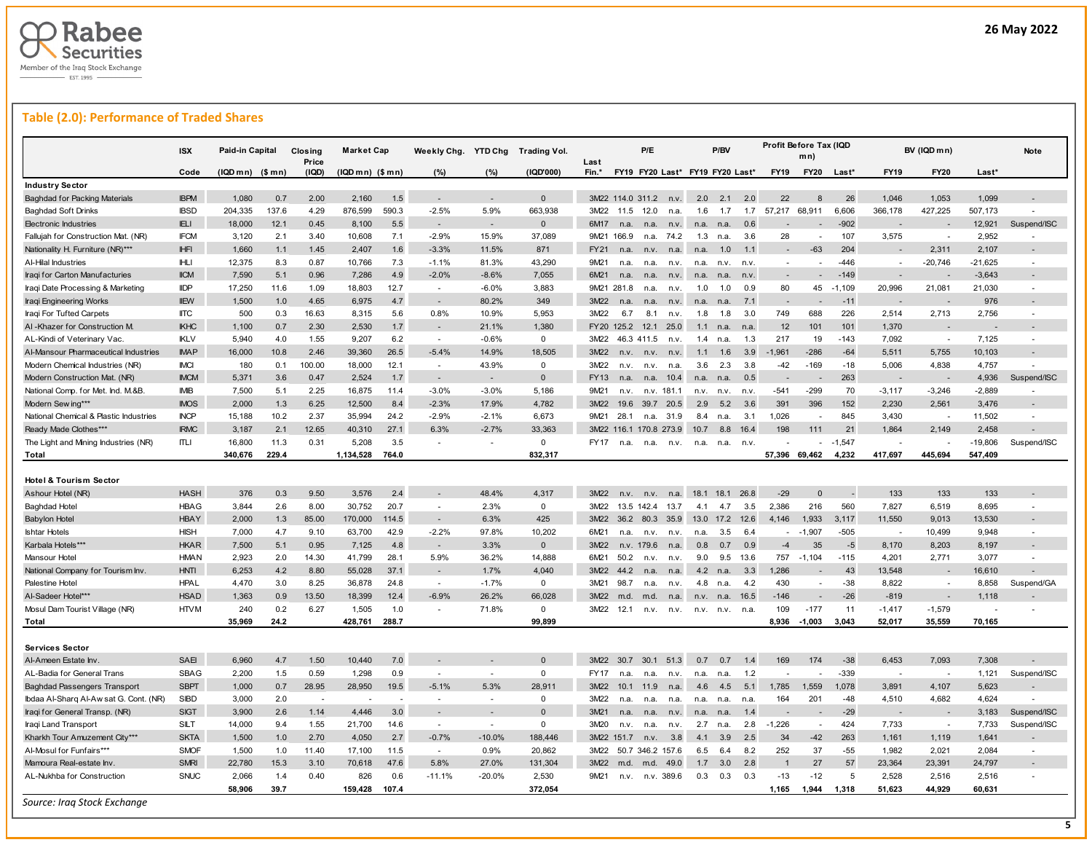

## **Table (2.0): Performance of Traded Shares**

|                                                       | <b>ISX</b>  | Paid-in Capital   |       | Closing<br>Price | <b>Market Cap</b> |       | Weekly Chg. YTD Chg      |                   | <b>Trading Vol.</b> | Last        |                  | P/E        |                    |            | P/BV                            |      |             | Profit Before Tax (IQD<br>mn) |          |                          | BV (IQD mn)              |           | Note                     |
|-------------------------------------------------------|-------------|-------------------|-------|------------------|-------------------|-------|--------------------------|-------------------|---------------------|-------------|------------------|------------|--------------------|------------|---------------------------------|------|-------------|-------------------------------|----------|--------------------------|--------------------------|-----------|--------------------------|
|                                                       | Code        | $(IQDmn)$ $($mn)$ |       | (IQD)            | $(IQDmn)$ $($mn)$ |       | (%)                      | (%)               | (IQD'000)           | Fin.*       |                  |            |                    |            | FY19 FY20 Last* FY19 FY20 Last* |      | <b>FY19</b> | <b>FY20</b>                   | Last*    | <b>FY19</b>              | <b>FY20</b>              | $Last*$   |                          |
| <b>Industry Sector</b>                                |             |                   |       |                  |                   |       |                          |                   |                     |             |                  |            |                    |            |                                 |      |             |                               |          |                          |                          |           |                          |
| <b>Baghdad for Packing Materials</b>                  | <b>IBPM</b> | 1,080             | 0.7   | 2.00             | 2,160             | 1.5   | $\overline{a}$           |                   | $\Omega$            |             | 3M22 114.0 311.2 |            | n.v.               | 2.0        | 2.1                             | 2.0  | 22          |                               | 26       | 1,046                    | 1,053                    | 1,099     |                          |
| <b>Baghdad Soft Drinks</b>                            | <b>IBSD</b> | 204,335           | 137.6 | 4.29             | 876,599           | 590.3 | $-2.5%$                  | 5.9%              | 663,938             | 3M22        | 11.5             | 12.0       | n.a.               | 1.6        | 1.7                             | 1.7  | 57,217      | 68,911                        | 6,606    | 366,178                  | 427,225                  | 507,173   |                          |
| <b>Electronic Industries</b>                          | <b>IELI</b> | 18,000            | 12.1  | 0.45             | 8,100             | 5.5   | $\overline{\phantom{a}}$ |                   | $\mathbf 0$         | 6M17        | n.a.             | n.a.       | n.v.               | n.a.       | n.a.                            | 0.6  |             |                               | $-902$   |                          |                          | 12,921    | Suspend/ISC              |
| Fallujah for Construction Mat. (NR)                   | <b>IFCM</b> | 3,120             | 2.1   | 3.40             | 10,608            | 7.1   | $-2.9%$                  | 15.9%             | 37,089              |             | 9M21 166.9       | n.a.       | 74.2               | 1.3        | n.a.                            | 3.6  | 28          |                               | 107      | 3,575                    |                          | 2,952     | ÷.                       |
| Nationality H. Furniture (NR)***                      | <b>IHFI</b> | 1,660             | 1.1   | 1.45             | 2,407             | 1.6   | $-3.3%$                  | 11.5%             | 871                 | <b>FY21</b> | n.a.             | n.v.       | n.a.               | n.a.       | 1.0                             | 1.1  |             | $-63$                         | 204      |                          | 2.311                    | 2,107     |                          |
| Al-Hilal Industries                                   | <b>IHLI</b> | 12,375            | 8.3   | 0.87             | 10,766            | 7.3   | $-1.1%$                  | 81.3%             | 43,290              | 9M21        | n.a.             | n.a.       | n.v.               | n.a.       | n.v.                            | n.v. | $\sim$      |                               | $-446$   |                          | $-20,746$                | $-21,625$ |                          |
| Iraqi for Carton Manufacturies                        | <b>IICM</b> | 7,590             | 5.1   | 0.96             | 7,286             | 4.9   | $-2.0%$                  | $-8.6%$           | 7,055               | 6M21        | n.a.             | n.a.       | n.v.               | n.a.       | n.a                             | n.v  |             |                               | $-149$   |                          |                          | $-3,643$  |                          |
| Iraqi Date Processing & Marketing                     | <b>IIDP</b> | 17.250            | 11.6  | 1.09             | 18,803            | 12.7  | $\sim$                   | $-6.0%$           | 3.883               |             | 9M21 281.8       | n.a.       | n.v.               | 1.0        | 1.0                             | 0.9  | 80          | 45                            | $-1.109$ | 20,996                   | 21.081                   | 21.030    | ÷,                       |
| Iraqi Engineering Works                               | <b>IIEW</b> | 1,500             | 1.0   | 4.65             | 6,975             | 4.7   |                          | 80.2%             | 349                 | 3M22        | n.a.             | n.a.       | n.v.               | n.a.       | n.a                             | 7.1  |             |                               | $-11$    |                          |                          | 976       |                          |
| Iraqi For Tufted Carpets                              | <b>IITC</b> | 500               | 0.3   | 16.63            | 8,315             | 5.6   | 0.8%                     | 10.9%             | 5,953               | 3M22        | 6.7              | 8.1        | n.v.               | 1.8        | 1.8                             | 3.0  | 749         | 688                           | 226      | 2,514                    | 2,713                    | 2,756     | $\sim$                   |
| AI-Khazer for Construction M.                         | <b>IKHC</b> | 1,100             | 0.7   | 2.30             | 2,530             | 1.7   | $\overline{\phantom{a}}$ | 21.1%             | 1,380               |             | FY20 125.2       | 12.1       | 25.0               | 1.1        | n a                             | n.a. | 12          | 101                           | 101      | 1,370                    |                          |           |                          |
| AL-Kindi of Veterinary Vac.                           | <b>IKLV</b> | 5,940             | 4.0   | 1.55             | 9,207             | 6.2   | $\sim$                   | $-0.6%$           | $\mathbf 0$         | 3M22        |                  | 46.3 411.5 | n.v.               | 1.4        | n.a                             | 1.3  | 217         | 19                            | $-143$   | 7,092                    | $\overline{\phantom{a}}$ | 7,125     |                          |
| Al-Mansour Pharmaceutical Industries                  | <b>IMAP</b> | 16,000            | 10.8  | 2.46             | 39,360            | 26.5  | $-5.4%$                  | 14.9%             | 18,505              | 3M22        | n.v.             | n.v.       | n.v.               | 1.1        | 1.6                             | 3.9  | $-1,961$    | $-286$                        | $-64$    | 5,511                    | 5,755                    | 10,103    |                          |
| Modern Chemical Industries (NR)                       | <b>IMCI</b> | 180               | 0.1   | 100.00           | 18,000            | 12.1  | $\sim$                   | 43.9%             | $\mathbf 0$         | 3M22        | n.v.             | n.v.       | n.a                | 3.6        | 2.3                             | 3.8  | $-42$       | $-169$                        | $-18$    | 5,006                    | 4,838                    | 4,757     |                          |
| Modern Construction Mat. (NR)                         | <b>IMCM</b> | 5,371             | 3.6   | 0.47             | 2,524             | 1.7   | $\overline{\phantom{a}}$ |                   | $\Omega$            | FY13        | n.a.             | n.a.       | 10.4               | n.a.       | n.a.                            | 0.5  |             |                               | 263      |                          |                          | 4,936     | Suspend/ISC              |
| National Comp. for Met. Ind. M.&B                     | <b>IMIB</b> | 7,500             | 5.1   | 2.25             | 16,875            | 11.4  | $-3.0%$                  | $-3.0%$           | 5,186               | 9M21        | n.v.             | n.v.       | 181.1              | n.v.       | n.v.                            | n.v. | $-541$      | $-299$                        | 70       | $-3,117$                 | $-3,246$                 | $-2,889$  |                          |
| Modern Sew ing***                                     | <b>IMOS</b> | 2,000             | 1.3   | 6.25             | 12,500            | 8.4   | $-2.3%$                  | 17.9%             | 4,782               | 3M22        | 19.6             |            | 39.7 20.5          | 2.9        | 5.2                             | 3.6  | 391         | 396                           | 152      | 2,230                    | 2,561                    | 3,476     |                          |
| National Chemical & Plastic Industries                | <b>INCP</b> | 15,188            | 10.2  | 2.37             | 35.994            | 24.2  | $-2.9%$                  | $-2.1%$           | 6.673               | 9M21        | 28.1             | n.a.       | 31.9               | 8.4        | n.a                             | 3.1  | 1.026       |                               | 845      | 3.430                    |                          | 11.502    |                          |
| Ready Made Clothes***                                 | <b>IRMC</b> | 3,187             | 2.1   | 12.65            | 40,310            | 27.1  | 6.3%                     | $-2.7%$           | 33,363              | 3M22        | 116.1            |            | 170.8 273.9        | 10.7       | 8.8                             | 16.4 | 198         | 111                           | 21       | 1,864                    | 2,149                    | 2,458     |                          |
| The Light and Mining Industries (NR)                  | <b>ITLI</b> | 16,800            | 11.3  | 0.31             | 5,208             | 3.5   | ÷.                       |                   | $\mathbf 0$         | <b>FY17</b> | n.a.             | n.a.       | n.v.               | n.a.       | n.a                             | n.v. |             |                               | $-1.547$ |                          |                          | $-19,806$ | Suspend/ISC              |
| Total                                                 |             | 340.676           | 229.4 |                  | 1,134,528         | 764.0 |                          |                   | 832.317             |             |                  |            |                    |            |                                 |      | 57,396      | 69.462                        | 4.232    | 417.697                  | 445.694                  | 547.409   |                          |
|                                                       |             |                   |       |                  |                   |       |                          |                   |                     |             |                  |            |                    |            |                                 |      |             |                               |          |                          |                          |           |                          |
| Hotel & Tourism Sector                                |             |                   |       |                  |                   |       |                          |                   |                     |             |                  |            |                    |            |                                 |      |             |                               |          |                          |                          |           |                          |
| Ashour Hotel (NR)                                     | <b>HASH</b> | 376               | 0.3   | 9.50             | 3,576             | 2.4   |                          | 48.4%             | 4.317               | 3M22        | n.v.             | n.v.       | n.a.               | 18.1       | 18.1                            | 26.8 | $-29$       | $\Omega$                      |          | 133                      | 133                      | 133       |                          |
| <b>Baghdad Hotel</b>                                  | HBAG        | 3,844             | 2.6   | 8.00             | 30,752            | 20.7  | $\overline{\phantom{a}}$ | 2.3%              | 0                   | 3M22        |                  | 13.5 142.4 | 13.7               | 4.1        | 4.7                             | 3.5  | 2,386       | 216                           | 560      | 7,827                    | 6,519                    | 8,695     | ÷                        |
| <b>Babylon Hotel</b>                                  | <b>HBAY</b> | 2,000             | 1.3   | 85.00            | 170,000           | 114.5 | $\overline{\phantom{a}}$ | 6.3%              | 425                 | 3M22        |                  | 36.2 80.3  | 35.9               | 13.0       | 17.2                            | 12.6 | 4,146       | 1,933                         | 3,117    | 11,550                   | 9,013                    | 13,530    |                          |
| <b>Ishtar Hotels</b>                                  | <b>HISH</b> | 7,000             | 4.7   | 9.10             | 63,700            | 42.9  | $-2.2%$                  | 97.8%             | 10,202              | 6M21        | n.a.             | n.v.       | n.v.               | n.a.       | 3.5                             | 6.4  |             | $-1.907$                      | $-505$   | $\overline{\phantom{a}}$ | 10,499                   | 9,948     | $\overline{\phantom{a}}$ |
| Karbala Hotels***                                     | <b>HKAR</b> | 7,500             | 5.1   | 0.95             | 7,125             | 4.8   | $\overline{\phantom{a}}$ | 3.3%              | $\mathbf{0}$        | 3M22        | n.v.             | 179.6      | n.a.               | 0.8        | 0.7                             | 0.9  | $-4$        | 35                            | $-5$     | 8,170                    | 8,203                    | 8,197     |                          |
| Mansour Hotel                                         | <b>HMAN</b> | 2,923             | 2.0   | 14.30            | 41,799            | 28.1  | 5.9%                     | 36.2%             | 14,888              | 6M21        | 50.2             | n.v.       | n.v.               | 9.0        | 9.5                             | 13.6 | 757         | $-1,104$                      | $-115$   | 4,201                    | 2,771                    | 3,077     |                          |
| National Company for Tourism Inv.                     | <b>HNTI</b> | 6,253             | 4.2   | 8.80             | 55,028            | 37.1  | $\overline{a}$           | 1.7%              | 4.040               | 3M22        | 44.2             | n.a        | n.a.               | 4.2        | n.a                             | 3.3  | 1.286       |                               | 43       | 13,548                   |                          | 16,610    |                          |
| Palestine Hotel                                       | <b>HPAL</b> | 4,470             | 3.0   | 8.25             | 36,878            | 24.8  | $\sim$                   | $-1.7%$           | $\mathbf 0$         | 3M21        | 98.7             | n.a.       | n.v.               | 4.8        | n.a.                            | 4.2  | 430         | $\sim$                        | $-38$    | 8,822                    |                          | 8,858     | Suspend/GA               |
| Al-Sadeer Hotel***                                    | <b>HSAD</b> | 1,363             | 0.9   | 13.50            | 18,399            | 12.4  | $-6.9%$                  | 26.2%             | 66,028              | 3M22        | m.d.             | m.d.       | n.a.               | n.v.       | n.a.                            | 16.5 | $-146$      |                               | $-26$    | $-819$                   |                          | 1,118     |                          |
| Mosul Dam Tourist Village (NR)                        | <b>HTVM</b> | 240               | 0.2   | 6.27             | 1,505             | 1.0   |                          | 71.8%             | $\Omega$            | 3M22        | 12.1             | n.v.       | n.v.               | n.v.       | n.v.                            | n.a  | 109         | $-177$                        | 11       | $-1,417$                 | $-1,579$                 |           |                          |
| Total                                                 |             | 35,969            | 24.2  |                  | 428,761           | 288.7 |                          |                   | 99,899              |             |                  |            |                    |            |                                 |      | 8,936       | $-1,003$                      | 3,043    | 52,017                   | 35,559                   | 70,165    |                          |
|                                                       |             |                   |       |                  |                   |       |                          |                   |                     |             |                  |            |                    |            |                                 |      |             |                               |          |                          |                          |           |                          |
| <b>Services Sector</b>                                |             |                   |       |                  |                   |       |                          |                   |                     |             |                  |            |                    |            |                                 |      |             |                               |          |                          |                          |           |                          |
| Al-Ameen Estate Inv.                                  | SAEI        | 6,960             | 4.7   | 1.50             | 10,440            | 7.0   |                          |                   | $\Omega$            | 3M22        | 30.7             | 30.1       | 51.3               | 0.7        | 0.7                             | 1.4  | 169         | 174                           | $-38$    | 6,453                    | 7,093                    | 7,308     |                          |
| AL-Badia for General Trans                            | <b>SBAG</b> | 2,200             | 1.5   | 0.59             | 1,298             | 0.9   | $\sim$                   | ÷                 | 0                   | FY17        | n.a              | n.a.       | n.v.               | n.a.       | n.a                             | 1.2  |             | <b>College</b>                | $-339$   | $\overline{\phantom{a}}$ | $\sim$                   | 1,121     | Suspend/ISC              |
| <b>Baghdad Passengers Transport</b>                   | <b>SBPT</b> | 1,000             | 0.7   | 28.95            | 28,950            | 19.5  | $-5.1%$                  | 5.3%              | 28,911              | 3M22        | 10.1             | 11.9       | n.a.               | 4.6        | 4.5                             | 5.1  | 1,785       | 1,559                         | 1,078    | 3,891                    | 4,107                    | 5,623     |                          |
| Ibdaa Al-Sharq Al-Aw sat G. Cont. (NR)                | <b>SIBD</b> | 3,000             | 2.0   |                  |                   |       | $\overline{\phantom{a}}$ |                   | $\mathbf 0$         | 3M22        | n.a.             | n.a        | n.a                | n a        | n.a                             | n.a  | 164         | 201                           | $-48$    | 4,510                    | 4,682                    | 4,624     |                          |
| Iraqi for General Transp. (NR)                        | <b>SIGT</b> | 3,900             | 2.6   | 1.14             | 4,446             | 3.0   |                          |                   | $\Omega$            | 3M21        | n.a.             | n.a.       | n.v.               | n.a.       | n.a                             | 1.4  |             |                               | $-29$    |                          |                          | 3,183     | Suspend/ISC              |
| Iraqi Land Transport                                  | SILT        | 14,000            | 9.4   | 1.55             | 21,700            | 14.6  | $\sim$                   | $\sim$            | $\Omega$            | 3M20        | n.v.             | n.a.       | n.v.               | 2.7        | n.a                             | 2.8  | $-1,226$    | $\overline{a}$                | 424      | 7,733                    |                          | 7,733     | Suspend/ISC              |
| Kharkh Tour Amuzement City***                         | <b>SKTA</b> | 1,500             | 1.0   | 2.70             | 4.050             | 2.7   | $-0.7%$                  | $-10.0%$          | 188.446             |             | 3M22 151.7       | n.v.       | 3.8                | 4.1        | 3.9                             | 2.5  | 34          | $-42$                         | 263      | 1,161                    | 1,119                    | 1,641     |                          |
| Al-Mosul for Funfairs***                              | <b>SMOF</b> | 1,500             | 1.0   | 11.40            | 17,100            | 11.5  | $\sim$                   | 0.9%              | 20,862              | 3M22        |                  |            | 50.7 346.2 157.6   | 6.5        | 6.4                             | 8.2  | 252         | 37                            | $-55$    | 1,982                    | 2,021                    | 2,084     | ÷                        |
|                                                       | <b>SMRI</b> |                   |       |                  |                   | 47.6  | 5.8%                     |                   |                     | 3M22        |                  |            |                    |            | 3.0                             | 2.8  |             | 27                            | 57       |                          |                          |           |                          |
| Mamoura Real-estate Inv<br>AL-Nukhba for Construction | <b>SNUC</b> | 22,780            | 15.3  | 3.10<br>0.40     | 70,618            |       | $-11.1%$                 | 27.0%<br>$-20.0%$ | 131,304             | 9M21        | m.d.             | m.d.       | 49.0<br>n.v. 389.6 | 1.7<br>0.3 | 0.3                             | 0.3  | $-13$       | $-12$                         | 5        | 23,364                   | 23,391                   | 24,797    |                          |
|                                                       |             | 2,066             | 1.4   |                  | 826               | 0.6   |                          |                   | 2,530               |             | n.v.             |            |                    |            |                                 |      |             |                               |          | 2,528                    | 2,516                    | 2,516     |                          |
|                                                       |             | 58,906            | 39.7  |                  | 159,428           | 107.4 |                          |                   | 372,054             |             |                  |            |                    |            |                                 |      | 1,165       | 1,944                         | 1,318    | 51,623                   | 44,929                   | 60,631    |                          |

**5**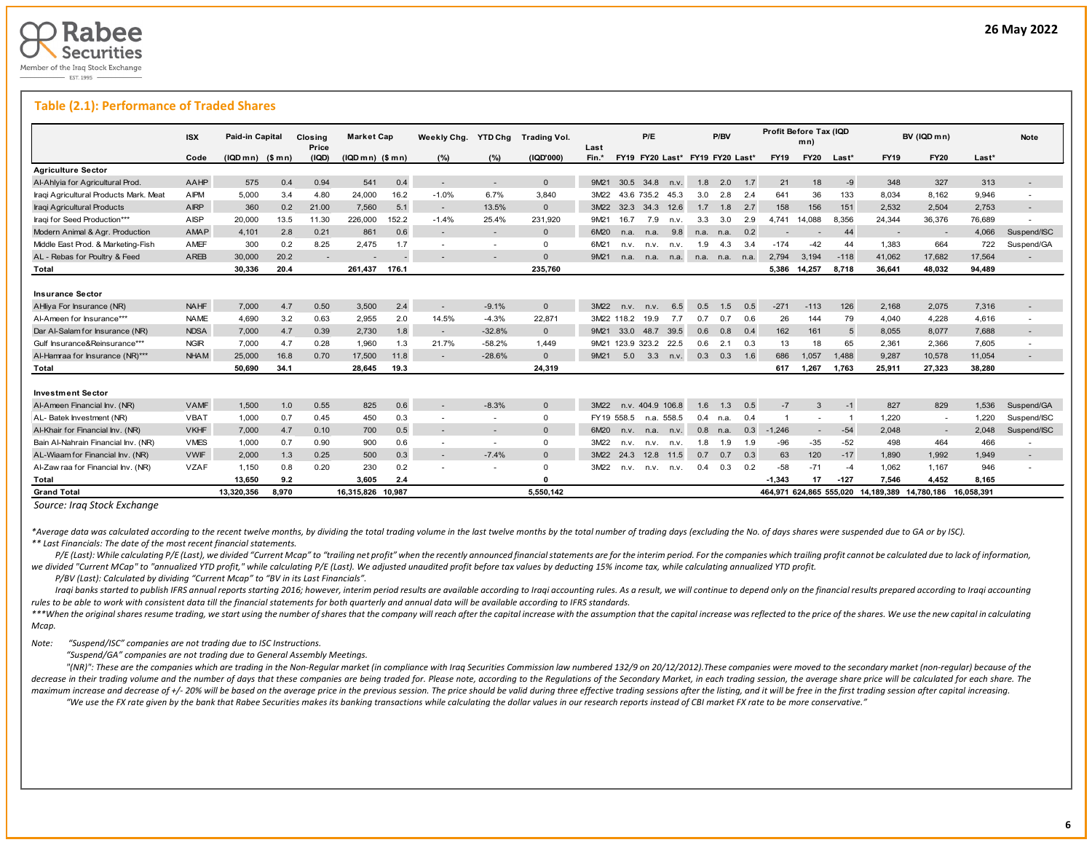

L

#### **Table (2.1): Performance of Traded Shares**

|                                                      | <b>ISX</b>  | Paid-in Capital  |       | Closina        | <b>Market Cap</b> |       | Weekly Chg. | <b>YTD Chg</b> | <b>Trading Vol.</b> |               |                       | P/E  |                  |                                 | P/BV           |     | Profit Before Tax (IQD | mn)         |        |                                                          | BV (IQD m n)             |        | <b>Note</b>              |
|------------------------------------------------------|-------------|------------------|-------|----------------|-------------------|-------|-------------|----------------|---------------------|---------------|-----------------------|------|------------------|---------------------------------|----------------|-----|------------------------|-------------|--------|----------------------------------------------------------|--------------------------|--------|--------------------------|
|                                                      | Code        | $(IQDmn)$ (\$mn) |       | Price<br>(IQD) | $(IQDmn)$ $($mn)$ |       | (%)         | (%)            | (1QD'000)           | Last<br>Fin.* |                       |      |                  | FY19 FY20 Last* FY19 FY20 Last* |                |     | <b>FY19</b>            | <b>FY20</b> | Last*  | <b>FY19</b>                                              | <b>FY20</b>              | Last*  |                          |
| <b>Agriculture Sector</b>                            |             |                  |       |                |                   |       |             |                |                     |               |                       |      |                  |                                 |                |     |                        |             |        |                                                          |                          |        |                          |
| Al-Ahlyia for Agricultural Prod.                     | AAHP        | 575              | 0.4   | 0.94           | 541               | 0.4   |             |                | $\Omega$            | 9M21          | 30.5 34.8             |      | n.v.             | 1.8                             | 2.0            | 1.7 | 21                     | 18          | $-9$   | 348                                                      | 327                      | 313    |                          |
| Iraqi Agricultural Products Mark. Meat               | AIPM        | 5.000            | 3.4   | 4.80           | 24.000            | 16.2  | $-1.0%$     | 6.7%           | 3.840               | 3M22          |                       |      | 43.6 735.2 45.3  | 3.0                             | 2.8            | 2.4 | 641                    | 36          | 133    | 8.034                                                    | 8.162                    | 9.946  | $\overline{\phantom{a}}$ |
| Iraqi Agricultural Products                          | <b>AIRP</b> | 360              | 0.2   | 21.00          | 7.560             | 5.1   | $\sim$      | 13.5%          | $\Omega$            | 3M22          | 32.3                  | 34.3 | 12.6             | 1.7                             | 1.8            | 2.7 | 158                    | 156         | 151    | 2.532                                                    | 2.504                    | 2.753  |                          |
| Iraqi for Seed Production***                         | <b>AISP</b> | 20,000           | 13.5  | 11.30          | 226,000           | 152.2 | $-1.4%$     | 25.4%          | 231,920             | 9M21          | 16.7                  | 7.9  | n.v.             | 3.3                             | 3.0            | 2.9 | 4.741                  | 14.088      | 8.356  | 24,344                                                   | 36,376                   | 76,689 |                          |
| Modern Animal & Agr. Production                      | <b>AMAP</b> | 4,101            | 2.8   | 0.21           | 861               | 0.6   |             | $\sim$         | $\Omega$            | 6M20          | n.a.                  | n.a. | 9.8              | n.a.                            | n.a.           | 0.2 |                        |             | 44     |                                                          | $\overline{\phantom{a}}$ | 4,066  | Suspend/ISC              |
| Middle East Prod. & Marketing-Fish                   | <b>AMEF</b> | 300              | 0.2   | 8.25           | 2,475             | 1.7   |             |                | $\Omega$            | 6M21          | n.v.                  | n.v. | n.v.             | 1.9                             | 4.3            | 3.4 | $-174$                 | $-42$       | 44     | 1,383                                                    | 664                      | 722    | Suspend/GA               |
| AL - Rebas for Poultry & Feed                        | AREB        | 30,000           | 20.2  | $\sim$         |                   |       |             |                | $\Omega$            | 9M21          | n.a.                  | n.a. | n.a.             |                                 | n.a. n.a. n.a. |     | 2.794                  | 3,194       | $-118$ | 41,062                                                   | 17,682                   | 17,564 |                          |
| Total                                                |             | 30.336           | 20.4  |                | 261.437           | 176.1 |             |                | 235.760             |               |                       |      |                  |                                 |                |     | 5.386                  | 14.257      | 8.718  | 36.641                                                   | 48.032                   | 94.489 |                          |
| <b>Insurance Sector</b><br>AHliya For Insurance (NR) | <b>NAHF</b> | 7.000            | 4.7   | 0.50           | 3.500             | 2.4   | $\sim$      | $-9.1%$        | $\mathbf{0}$        | 3M22          | n.v.                  | n.v. | 6.5              | 0.5                             | 1.5            | 0.5 | $-271$                 | $-113$      | 126    | 2.168                                                    | 2.075                    | 7,316  |                          |
| Al-Ameen for Insurance***                            | <b>NAME</b> | 4,690            | 3.2   | 0.63           | 2.955             | 2.0   | 14.5%       | $-4.3%$        | 22.871              |               | 3M22 118.2            | 19.9 | 7.7              | 0.7                             | 0.7            | 0.6 | 26                     | 144         | 79     | 4.040                                                    | 4,228                    | 4.616  | $\overline{\phantom{a}}$ |
| Dar Al-Salam for Insurance (NR)                      | <b>NDSA</b> | 7.000            | 4.7   | 0.39           | 2.730             | 1.8   |             | $-32.8%$       | $\mathbf{0}$        | 9M21          | 33.0                  | 48.7 | 39.5             | 0.6                             | 0.8            | 0.4 | 162                    | 161         | -5     | 8.055                                                    | 8.077                    | 7.688  |                          |
| Gulf Insurance&Reinsurance***                        | <b>NGIR</b> | 7.000            | 4.7   | 0.28           | 1.960             | 1.3   | 21.7%       | $-58.2%$       | 1.449               |               | 9M21 123.9 323.2 22.5 |      |                  | 0.6                             | 2.1            | 0.3 | 13                     | 18          | 65     | 2.361                                                    | 2.366                    | 7.605  |                          |
| Al-Hamraa for Insurance (NR)***                      | <b>NHAM</b> | 25,000           | 16.8  | 0.70           | 17,500            | 11.8  | $\sim$      | $-28.6%$       | $\mathbf{0}$        | 9M21          | 5.0                   | 3.3  | n.v.             | 0.3                             | 0.3            | 1.6 | 686                    | 1.057       | 1.488  | 9.287                                                    | 10,578                   | 11,054 |                          |
| Total                                                |             | 50.690           | 34.1  |                | 28,645            | 19.3  |             |                | 24.319              |               |                       |      |                  |                                 |                |     | 617                    | 1,267       | 1.763  | 25,911                                                   | 27,323                   | 38.280 |                          |
| <b>Investment Sector</b>                             |             |                  |       |                |                   |       |             |                |                     |               |                       |      |                  |                                 |                |     |                        |             |        |                                                          |                          |        |                          |
| Al-Ameen Financial Inv. (NR)                         | <b>VAMF</b> | 1,500            | 1.0   | 0.55           | 825               | 0.6   |             | $-8.3%$        | $\Omega$            | 3M22          |                       |      | n.v. 404.9 106.8 | 1.6                             | 1.3            | 0.5 | $-7$                   | 3           | $-1$   | 827                                                      | 829                      | 1,536  | Suspend/GA               |
| AL- Batek Investment (NR)                            | <b>VBAT</b> | 1,000            | 0.7   | 0.45           | 450               | 0.3   |             | $\sim$         | $\mathbf{0}$        |               | FY19 558.5            |      | n.a. 558.5       | 0.4                             | n.a.           | 0.4 |                        |             |        | 1,220                                                    | $\sim$                   | 1.220  | Suspend/ISC              |
| Al-Khair for Financial Inv. (NR)                     | <b>VKHF</b> | 7.000            | 4.7   | 0.10           | 700               | 0.5   |             |                | $\Omega$            | 6M20          | n.v.                  | n.a. | n.v.             | 0.8                             | n.a.           | 0.3 | $-1.246$               |             | $-54$  | 2.048                                                    | $\sim$                   | 2.048  | Suspend/ISC              |
| Bain Al-Nahrain Financial Inv. (NR)                  | <b>VMES</b> | 1.000            | 0.7   | 0.90           | 900               | 0.6   |             |                | $\Omega$            | 3M22          | n.v.                  | n.v. | n.v.             | 1.8                             | 1.9            | 1.9 | $-96$                  | $-35$       | $-52$  | 498                                                      | 464                      | 466    |                          |
| AL-Wiaam for Financial Inv. (NR)                     | <b>VWIF</b> | 2.000            | 1.3   | 0.25           | 500               | 0.3   | $\sim$      | $-7.4%$        | $\Omega$            | 3M22          | 24.3                  | 12.8 | 11.5             | 0.7                             | 0.7            | 0.3 | 63                     | 120         | $-17$  | 1.890                                                    | 1.992                    | 1.949  |                          |
| Al-Zaw raa for Financial Inv. (NR)                   | <b>VZAF</b> | 1,150            | 0.8   | 0.20           | 230               | 0.2   |             |                | $\Omega$            | 3M22          | n.v.                  | n.v. | n.v.             | 0.4                             | 0.3            | 0.2 | $-58$                  | $-71$       | $-4$   | 1,062                                                    | 1.167                    | 946    |                          |
| Total                                                |             | 13,650           | 9.2   |                | 3,605             | 2.4   |             |                | $\Omega$            |               |                       |      |                  |                                 |                |     | $-1.343$               | 17          | $-127$ | 7.546                                                    | 4.452                    | 8.165  |                          |
| <b>Grand Total</b>                                   |             | 13.320.356       | 8.970 |                | 16.315.826 10.987 |       |             |                | 5.550.142           |               |                       |      |                  |                                 |                |     |                        |             |        | 464.971 624.865 555.020 14.189.389 14.780.186 16.058.391 |                          |        |                          |

*Source: Iraq Stock Exchange*

\*Average data was calculated according to the recent twelve months, by dividing the total trading volume in the last twelve months by the total number of trading days (excluding the No. of days shares were suspended due to *\*\* Last Financials: The date of the most recent financial statements.* 

P/E (Last): While calculating P/E (Last), we divided "Current Mcap" to "trailing net profit" when the recently announced financial statements are for the interim period. For the companies which trailing profit cannot be ca we divided "Current MCap" to "annualized YTD profit," while calculating P/E (Last). We adjusted unaudited profit before tax values by deducting 15% income tax, while calculating annualized YTD profit.

 *P/BV (Last): Calculated by dividing "Current Mcap" to "BV in its Last Financials".*

Iraqi banks started to publish IFRS annual reports starting 2016; however, interim period results are available according to Iraqi accounting rules. As a result, we will continue to depend only on the financial results pre *rules to be able to work with consistent data till the financial statements for both quarterly and annual data will be available according to IFRS standards.* 

\*\*\*When the original shares resume trading, we start using the number of shares that the company will reach after the capital increase with the assumption that the capital increase was reflected to the price of the shares. *Mcap.*

*Note: "Suspend/ISC" companies are not trading due to ISC Instructions.*

 *"Suspend/GA" companies are not trading due to General Assembly Meetings.*

"(NR)": These are the companies which are trading in the Non-Regular market (in compliance with Iraq Securities Commission law numbered 132/9 on 20/12/2012). These companies were moved to the secondary market (non-regular) decrease in their trading volume and the number of days that these companies are being traded for. Please note, according to the Requlations of the Secondary Market, in each trading session, the average share price will be maximum increase and decrease of +/- 20% will be based on the average price in the previous session. The price should be valid during three effective trading sessions after the listing, and it will be free in the first tra "We use the FX rate given by the bank that Rabee Securities makes its banking transactions while calculating the dollar values in our research reports instead of CBI market FX rate to be more conservative."